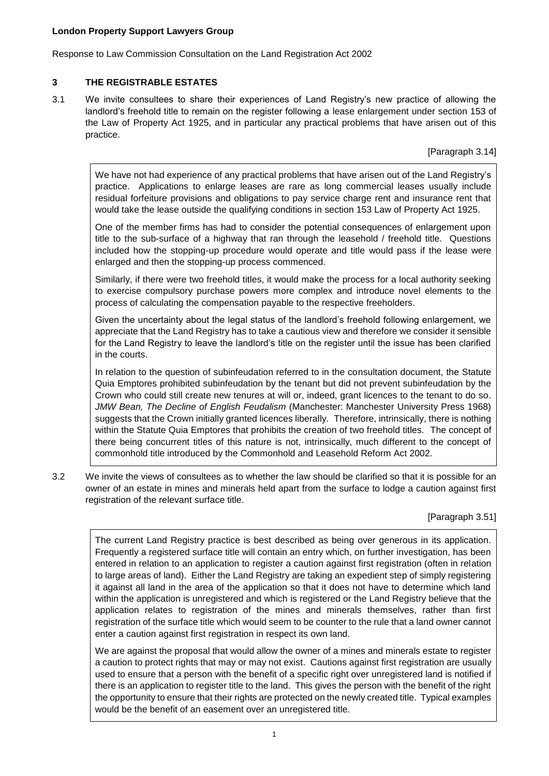Response to Law Commission Consultation on the Land Registration Act 2002

# **3 THE REGISTRABLE ESTATES**

3.1 We invite consultees to share their experiences of Land Registry's new practice of allowing the landlord's freehold title to remain on the register following a lease enlargement under section 153 of the Law of Property Act 1925, and in particular any practical problems that have arisen out of this practice.

[Paragraph 3.14]

We have not had experience of any practical problems that have arisen out of the Land Registry's practice. Applications to enlarge leases are rare as long commercial leases usually include residual forfeiture provisions and obligations to pay service charge rent and insurance rent that would take the lease outside the qualifying conditions in section 153 Law of Property Act 1925.

One of the member firms has had to consider the potential consequences of enlargement upon title to the sub-surface of a highway that ran through the leasehold / freehold title. Questions included how the stopping-up procedure would operate and title would pass if the lease were enlarged and then the stopping-up process commenced.

Similarly, if there were two freehold titles, it would make the process for a local authority seeking to exercise compulsory purchase powers more complex and introduce novel elements to the process of calculating the compensation payable to the respective freeholders.

Given the uncertainty about the legal status of the landlord's freehold following enlargement, we appreciate that the Land Registry has to take a cautious view and therefore we consider it sensible for the Land Registry to leave the landlord's title on the register until the issue has been clarified in the courts.

In relation to the question of subinfeudation referred to in the consultation document, the Statute Quia Emptores prohibited subinfeudation by the tenant but did not prevent subinfeudation by the Crown who could still create new tenures at will or, indeed, grant licences to the tenant to do so. *JMW Bean, The Decline of English Feudalism* (Manchester: Manchester University Press 1968) suggests that the Crown initially granted licences liberally. Therefore, intrinsically, there is nothing within the Statute Quia Emptores that prohibits the creation of two freehold titles. The concept of there being concurrent titles of this nature is not, intrinsically, much different to the concept of commonhold title introduced by the Commonhold and Leasehold Reform Act 2002.

3.2 We invite the views of consultees as to whether the law should be clarified so that it is possible for an owner of an estate in mines and minerals held apart from the surface to lodge a caution against first registration of the relevant surface title.

# [Paragraph 3.51]

The current Land Registry practice is best described as being over generous in its application. Frequently a registered surface title will contain an entry which, on further investigation, has been entered in relation to an application to register a caution against first registration (often in relation to large areas of land). Either the Land Registry are taking an expedient step of simply registering it against all land in the area of the application so that it does not have to determine which land within the application is unregistered and which is registered or the Land Registry believe that the application relates to registration of the mines and minerals themselves, rather than first registration of the surface title which would seem to be counter to the rule that a land owner cannot enter a caution against first registration in respect its own land.

We are against the proposal that would allow the owner of a mines and minerals estate to register a caution to protect rights that may or may not exist. Cautions against first registration are usually used to ensure that a person with the benefit of a specific right over unregistered land is notified if there is an application to register title to the land. This gives the person with the benefit of the right the opportunity to ensure that their rights are protected on the newly created title. Typical examples would be the benefit of an easement over an unregistered title.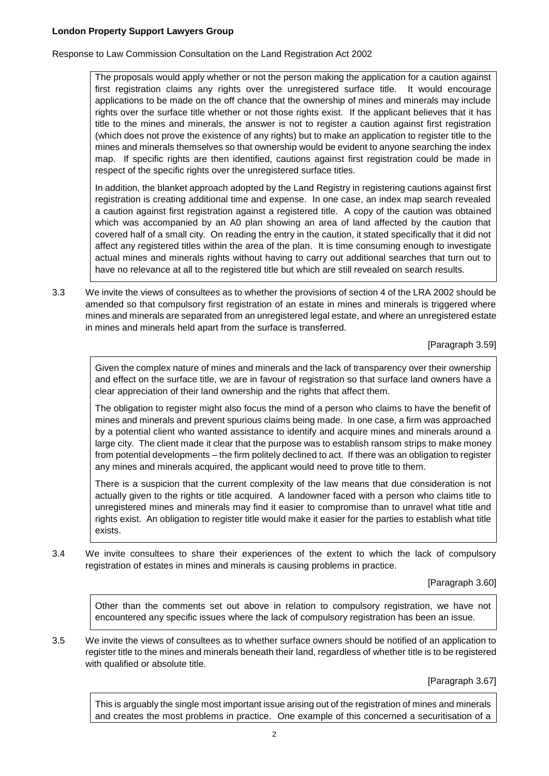Response to Law Commission Consultation on the Land Registration Act 2002

The proposals would apply whether or not the person making the application for a caution against first registration claims any rights over the unregistered surface title. It would encourage applications to be made on the off chance that the ownership of mines and minerals may include rights over the surface title whether or not those rights exist. If the applicant believes that it has title to the mines and minerals, the answer is not to register a caution against first registration (which does not prove the existence of any rights) but to make an application to register title to the mines and minerals themselves so that ownership would be evident to anyone searching the index map. If specific rights are then identified, cautions against first registration could be made in respect of the specific rights over the unregistered surface titles.

In addition, the blanket approach adopted by the Land Registry in registering cautions against first registration is creating additional time and expense. In one case, an index map search revealed a caution against first registration against a registered title. A copy of the caution was obtained which was accompanied by an A0 plan showing an area of land affected by the caution that covered half of a small city. On reading the entry in the caution, it stated specifically that it did not affect any registered titles within the area of the plan. It is time consuming enough to investigate actual mines and minerals rights without having to carry out additional searches that turn out to have no relevance at all to the registered title but which are still revealed on search results.

3.3 We invite the views of consultees as to whether the provisions of section 4 of the LRA 2002 should be amended so that compulsory first registration of an estate in mines and minerals is triggered where mines and minerals are separated from an unregistered legal estate, and where an unregistered estate in mines and minerals held apart from the surface is transferred.

[Paragraph 3.59]

Given the complex nature of mines and minerals and the lack of transparency over their ownership and effect on the surface title, we are in favour of registration so that surface land owners have a clear appreciation of their land ownership and the rights that affect them.

The obligation to register might also focus the mind of a person who claims to have the benefit of mines and minerals and prevent spurious claims being made. In one case, a firm was approached by a potential client who wanted assistance to identify and acquire mines and minerals around a large city. The client made it clear that the purpose was to establish ransom strips to make money from potential developments – the firm politely declined to act. If there was an obligation to register any mines and minerals acquired, the applicant would need to prove title to them.

There is a suspicion that the current complexity of the law means that due consideration is not actually given to the rights or title acquired. A landowner faced with a person who claims title to unregistered mines and minerals may find it easier to compromise than to unravel what title and rights exist. An obligation to register title would make it easier for the parties to establish what title exists.

3.4 We invite consultees to share their experiences of the extent to which the lack of compulsory registration of estates in mines and minerals is causing problems in practice.

[Paragraph 3.60]

Other than the comments set out above in relation to compulsory registration, we have not encountered any specific issues where the lack of compulsory registration has been an issue.

3.5 We invite the views of consultees as to whether surface owners should be notified of an application to register title to the mines and minerals beneath their land, regardless of whether title is to be registered with qualified or absolute title.

[Paragraph 3.67]

This is arguably the single most important issue arising out of the registration of mines and minerals and creates the most problems in practice. One example of this concerned a securitisation of a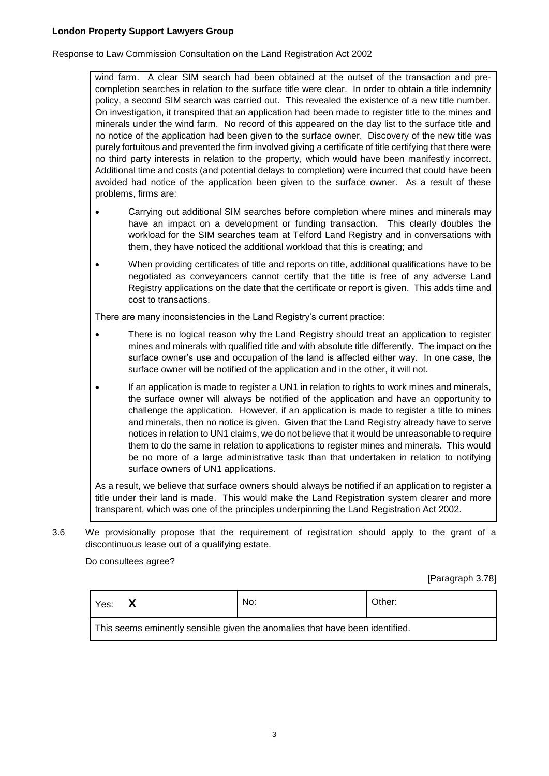Response to Law Commission Consultation on the Land Registration Act 2002

wind farm. A clear SIM search had been obtained at the outset of the transaction and precompletion searches in relation to the surface title were clear. In order to obtain a title indemnity policy, a second SIM search was carried out. This revealed the existence of a new title number. On investigation, it transpired that an application had been made to register title to the mines and minerals under the wind farm. No record of this appeared on the day list to the surface title and no notice of the application had been given to the surface owner. Discovery of the new title was purely fortuitous and prevented the firm involved giving a certificate of title certifying that there were no third party interests in relation to the property, which would have been manifestly incorrect. Additional time and costs (and potential delays to completion) were incurred that could have been avoided had notice of the application been given to the surface owner. As a result of these problems, firms are:

- Carrying out additional SIM searches before completion where mines and minerals may have an impact on a development or funding transaction. This clearly doubles the workload for the SIM searches team at Telford Land Registry and in conversations with them, they have noticed the additional workload that this is creating; and
- When providing certificates of title and reports on title, additional qualifications have to be negotiated as conveyancers cannot certify that the title is free of any adverse Land Registry applications on the date that the certificate or report is given. This adds time and cost to transactions.

There are many inconsistencies in the Land Registry's current practice:

- There is no logical reason why the Land Registry should treat an application to register mines and minerals with qualified title and with absolute title differently. The impact on the surface owner's use and occupation of the land is affected either way. In one case, the surface owner will be notified of the application and in the other, it will not.
- If an application is made to register a UN1 in relation to rights to work mines and minerals, the surface owner will always be notified of the application and have an opportunity to challenge the application. However, if an application is made to register a title to mines and minerals, then no notice is given. Given that the Land Registry already have to serve notices in relation to UN1 claims, we do not believe that it would be unreasonable to require them to do the same in relation to applications to register mines and minerals. This would be no more of a large administrative task than that undertaken in relation to notifying surface owners of UN1 applications.

As a result, we believe that surface owners should always be notified if an application to register a title under their land is made. This would make the Land Registration system clearer and more transparent, which was one of the principles underpinning the Land Registration Act 2002.

3.6 We provisionally propose that the requirement of registration should apply to the grant of a discontinuous lease out of a qualifying estate.

Do consultees agree?

[Paragraph 3.78]

| Yes:                                                                         | No: | Other: |  |  |
|------------------------------------------------------------------------------|-----|--------|--|--|
| This seems eminently sensible given the anomalies that have been identified. |     |        |  |  |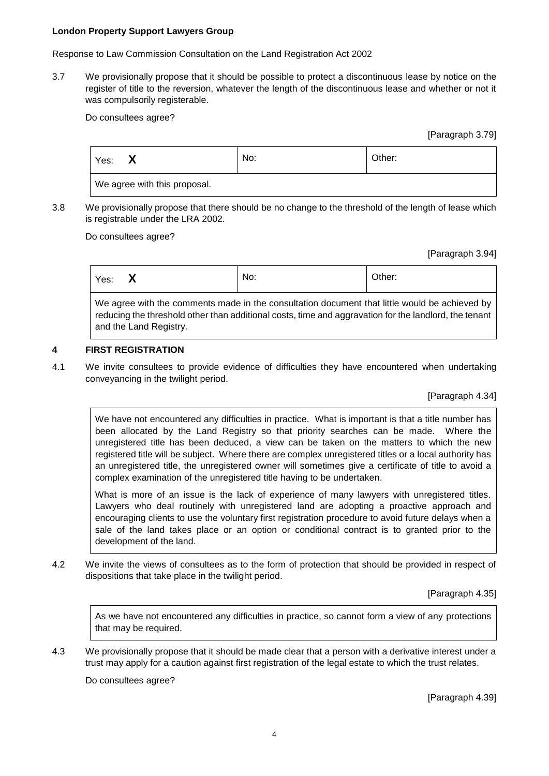Response to Law Commission Consultation on the Land Registration Act 2002

3.7 We provisionally propose that it should be possible to protect a discontinuous lease by notice on the register of title to the reversion, whatever the length of the discontinuous lease and whether or not it was compulsorily registerable.

Do consultees agree?

[Paragraph 3.79]

| Yes:                         | No: | Other: |  |  |
|------------------------------|-----|--------|--|--|
| We agree with this proposal. |     |        |  |  |

3.8 We provisionally propose that there should be no change to the threshold of the length of lease which is registrable under the LRA 2002.

Do consultees agree?

[Paragraph 3.94]

| Yes:                                                                                          |  | No: | Other: |
|-----------------------------------------------------------------------------------------------|--|-----|--------|
| We agree with the comments made in the consultation document that little would be achieved by |  |     |        |

We agree with the comments made in the consultation document that little would be achieved by reducing the threshold other than additional costs, time and aggravation for the landlord, the tenant and the Land Registry.

# **4 FIRST REGISTRATION**

4.1 We invite consultees to provide evidence of difficulties they have encountered when undertaking conveyancing in the twilight period.

[Paragraph 4.34]

We have not encountered any difficulties in practice. What is important is that a title number has been allocated by the Land Registry so that priority searches can be made. Where the unregistered title has been deduced, a view can be taken on the matters to which the new registered title will be subject. Where there are complex unregistered titles or a local authority has an unregistered title, the unregistered owner will sometimes give a certificate of title to avoid a complex examination of the unregistered title having to be undertaken.

What is more of an issue is the lack of experience of many lawyers with unregistered titles. Lawyers who deal routinely with unregistered land are adopting a proactive approach and encouraging clients to use the voluntary first registration procedure to avoid future delays when a sale of the land takes place or an option or conditional contract is to granted prior to the development of the land.

4.2 We invite the views of consultees as to the form of protection that should be provided in respect of dispositions that take place in the twilight period.

[Paragraph 4.35]

As we have not encountered any difficulties in practice, so cannot form a view of any protections that may be required.

4.3 We provisionally propose that it should be made clear that a person with a derivative interest under a trust may apply for a caution against first registration of the legal estate to which the trust relates.

Do consultees agree?

[Paragraph 4.39]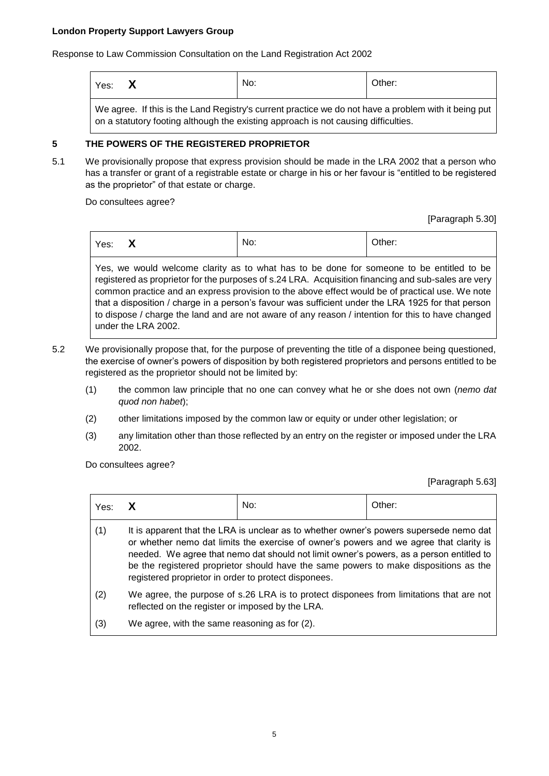Response to Law Commission Consultation on the Land Registration Act 2002

| Yes: $\mathsf{X}$                                                                                                                                                                          |  | No: | Other: |  |
|--------------------------------------------------------------------------------------------------------------------------------------------------------------------------------------------|--|-----|--------|--|
| We agree. If this is the Land Registry's current practice we do not have a problem with it being put<br>on a statutory footing although the existing approach is not causing difficulties. |  |     |        |  |

# **5 THE POWERS OF THE REGISTERED PROPRIETOR**

5.1 We provisionally propose that express provision should be made in the LRA 2002 that a person who has a transfer or grant of a registrable estate or charge in his or her favour is "entitled to be registered as the proprietor" of that estate or charge.

Do consultees agree?

[Paragraph 5.30]

| $\mathbf{v}$<br>Yes:<br>$\mathbf{v}$ |  | No: | Other: |
|--------------------------------------|--|-----|--------|
|--------------------------------------|--|-----|--------|

Yes, we would welcome clarity as to what has to be done for someone to be entitled to be registered as proprietor for the purposes of s.24 LRA. Acquisition financing and sub-sales are very common practice and an express provision to the above effect would be of practical use. We note that a disposition / charge in a person's favour was sufficient under the LRA 1925 for that person to dispose / charge the land and are not aware of any reason / intention for this to have changed under the LRA 2002.

- 5.2 We provisionally propose that, for the purpose of preventing the title of a disponee being questioned, the exercise of owner's powers of disposition by both registered proprietors and persons entitled to be registered as the proprietor should not be limited by:
	- (1) the common law principle that no one can convey what he or she does not own (*nemo dat quod non habet*);
	- (2) other limitations imposed by the common law or equity or under other legislation; or
	- (3) any limitation other than those reflected by an entry on the register or imposed under the LRA 2002.

Do consultees agree?

[Paragraph 5.63]

| Yes: | X                                                                                                                                                                                                                                                                                                                                                                                                                           | No: | Other: |
|------|-----------------------------------------------------------------------------------------------------------------------------------------------------------------------------------------------------------------------------------------------------------------------------------------------------------------------------------------------------------------------------------------------------------------------------|-----|--------|
| (1)  | It is apparent that the LRA is unclear as to whether owner's powers supersede nemo dat<br>or whether nemo dat limits the exercise of owner's powers and we agree that clarity is<br>needed. We agree that nemo dat should not limit owner's powers, as a person entitled to<br>be the registered proprietor should have the same powers to make dispositions as the<br>registered proprietor in order to protect disponees. |     |        |
| (2)  | We agree, the purpose of s.26 LRA is to protect disponees from limitations that are not<br>reflected on the register or imposed by the LRA.                                                                                                                                                                                                                                                                                 |     |        |
| (3)  | We agree, with the same reasoning as for (2).                                                                                                                                                                                                                                                                                                                                                                               |     |        |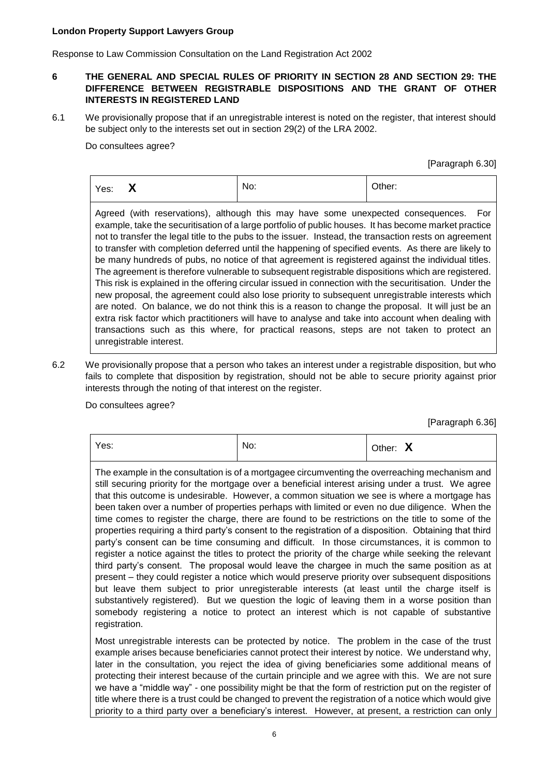Response to Law Commission Consultation on the Land Registration Act 2002

# **6 THE GENERAL AND SPECIAL RULES OF PRIORITY IN SECTION 28 AND SECTION 29: THE DIFFERENCE BETWEEN REGISTRABLE DISPOSITIONS AND THE GRANT OF OTHER INTERESTS IN REGISTERED LAND**

6.1 We provisionally propose that if an unregistrable interest is noted on the register, that interest should be subject only to the interests set out in section 29(2) of the LRA 2002.

Do consultees agree?

[Paragraph 6.30]

| $\mathbf{v}$<br>Yes:<br>Y<br>- - | No: | Other: |  |
|----------------------------------|-----|--------|--|
|----------------------------------|-----|--------|--|

Agreed (with reservations), although this may have some unexpected consequences. For example, take the securitisation of a large portfolio of public houses. It has become market practice not to transfer the legal title to the pubs to the issuer. Instead, the transaction rests on agreement to transfer with completion deferred until the happening of specified events. As there are likely to be many hundreds of pubs, no notice of that agreement is registered against the individual titles. The agreement is therefore vulnerable to subsequent registrable dispositions which are registered. This risk is explained in the offering circular issued in connection with the securitisation. Under the new proposal, the agreement could also lose priority to subsequent unregistrable interests which are noted. On balance, we do not think this is a reason to change the proposal. It will just be an extra risk factor which practitioners will have to analyse and take into account when dealing with transactions such as this where, for practical reasons, steps are not taken to protect an unregistrable interest.

6.2 We provisionally propose that a person who takes an interest under a registrable disposition, but who fails to complete that disposition by registration, should not be able to secure priority against prior interests through the noting of that interest on the register.

Do consultees agree?

[Paragraph 6.36]

| Yes:                                                                                                                                                                                                                                                                                                                                                                                                                                                                                                                                                                                                                                                                                                                                                                                                                                                                                                                                                                                                                                                                                                                                                                                                                                                                                                                                                | No: | Other: X |  |
|-----------------------------------------------------------------------------------------------------------------------------------------------------------------------------------------------------------------------------------------------------------------------------------------------------------------------------------------------------------------------------------------------------------------------------------------------------------------------------------------------------------------------------------------------------------------------------------------------------------------------------------------------------------------------------------------------------------------------------------------------------------------------------------------------------------------------------------------------------------------------------------------------------------------------------------------------------------------------------------------------------------------------------------------------------------------------------------------------------------------------------------------------------------------------------------------------------------------------------------------------------------------------------------------------------------------------------------------------------|-----|----------|--|
| The example in the consultation is of a mortgagee circumventing the overreaching mechanism and<br>still securing priority for the mortgage over a beneficial interest arising under a trust. We agree<br>that this outcome is undesirable. However, a common situation we see is where a mortgage has<br>been taken over a number of properties perhaps with limited or even no due diligence. When the<br>time comes to register the charge, there are found to be restrictions on the title to some of the<br>properties requiring a third party's consent to the registration of a disposition. Obtaining that third<br>party's consent can be time consuming and difficult. In those circumstances, it is common to<br>register a notice against the titles to protect the priority of the charge while seeking the relevant<br>third party's consent. The proposal would leave the chargee in much the same position as at<br>present – they could register a notice which would preserve priority over subsequent dispositions<br>but leave them subject to prior unregisterable interests (at least until the charge itself is<br>substantively registered). But we question the logic of leaving them in a worse position than<br>somebody registering a notice to protect an interest which is not capable of substantive<br>registration. |     |          |  |
| Most unregistrable interests can be protected by notice. The problem in the case of the trust<br>example arises because beneficiaries cannot protect their interest by notice. We understand why,<br>later in the consultation, you reject the idea of giving beneficiaries some additional means of<br>protecting their interest because of the curtain principle and we agree with this. We are not sure                                                                                                                                                                                                                                                                                                                                                                                                                                                                                                                                                                                                                                                                                                                                                                                                                                                                                                                                          |     |          |  |

we have a "middle way" - one possibility might be that the form of restriction put on the register of title where there is a trust could be changed to prevent the registration of a notice which would give priority to a third party over a beneficiary's interest. However, at present, a restriction can only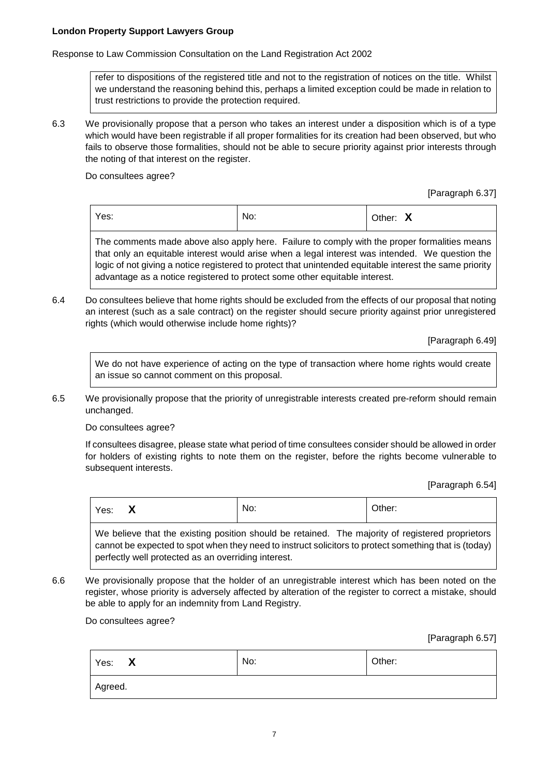Response to Law Commission Consultation on the Land Registration Act 2002

refer to dispositions of the registered title and not to the registration of notices on the title. Whilst we understand the reasoning behind this, perhaps a limited exception could be made in relation to trust restrictions to provide the protection required.

6.3 We provisionally propose that a person who takes an interest under a disposition which is of a type which would have been registrable if all proper formalities for its creation had been observed, but who fails to observe those formalities, should not be able to secure priority against prior interests through the noting of that interest on the register.

Do consultees agree?

[Paragraph 6.37]

|  | Yes: | No: | $\blacksquare$<br>Other:<br>$\mathbf{v}$ |
|--|------|-----|------------------------------------------|
|--|------|-----|------------------------------------------|

The comments made above also apply here. Failure to comply with the proper formalities means that only an equitable interest would arise when a legal interest was intended. We question the logic of not giving a notice registered to protect that unintended equitable interest the same priority advantage as a notice registered to protect some other equitable interest.

6.4 Do consultees believe that home rights should be excluded from the effects of our proposal that noting an interest (such as a sale contract) on the register should secure priority against prior unregistered rights (which would otherwise include home rights)?

[Paragraph 6.49]

We do not have experience of acting on the type of transaction where home rights would create an issue so cannot comment on this proposal.

6.5 We provisionally propose that the priority of unregistrable interests created pre-reform should remain unchanged.

Do consultees agree?

If consultees disagree, please state what period of time consultees consider should be allowed in order for holders of existing rights to note them on the register, before the rights become vulnerable to subsequent interests.

[Paragraph 6.54]

| Yes: | $\mathbf{v}$<br>$\lambda$ | No: | Other: |
|------|---------------------------|-----|--------|
|      |                           |     |        |

We believe that the existing position should be retained. The majority of registered proprietors cannot be expected to spot when they need to instruct solicitors to protect something that is (today) perfectly well protected as an overriding interest.

6.6 We provisionally propose that the holder of an unregistrable interest which has been noted on the register, whose priority is adversely affected by alteration of the register to correct a mistake, should be able to apply for an indemnity from Land Registry.

Do consultees agree?

[Paragraph 6.57]

| X<br>Yes: | Other: |  |  |  |
|-----------|--------|--|--|--|
| Agreed.   |        |  |  |  |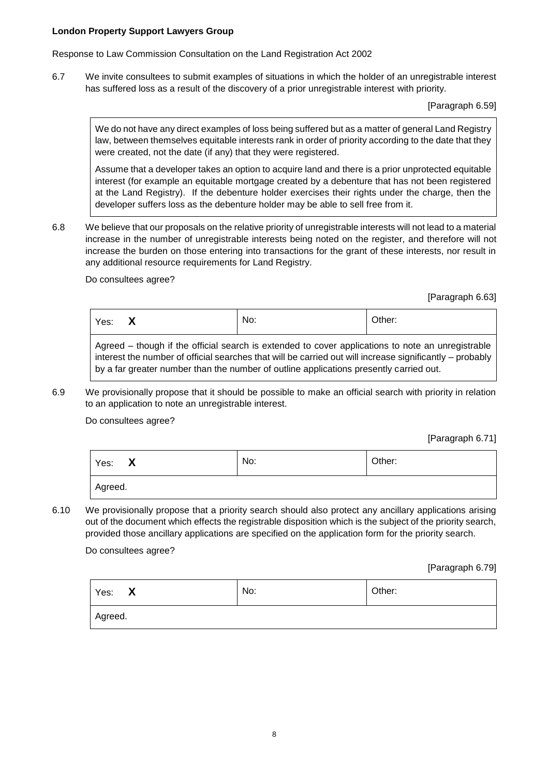Response to Law Commission Consultation on the Land Registration Act 2002

6.7 We invite consultees to submit examples of situations in which the holder of an unregistrable interest has suffered loss as a result of the discovery of a prior unregistrable interest with priority.

[Paragraph 6.59]

We do not have any direct examples of loss being suffered but as a matter of general Land Registry law, between themselves equitable interests rank in order of priority according to the date that they were created, not the date (if any) that they were registered.

Assume that a developer takes an option to acquire land and there is a prior unprotected equitable interest (for example an equitable mortgage created by a debenture that has not been registered at the Land Registry). If the debenture holder exercises their rights under the charge, then the developer suffers loss as the debenture holder may be able to sell free from it.

6.8 We believe that our proposals on the relative priority of unregistrable interests will not lead to a material increase in the number of unregistrable interests being noted on the register, and therefore will not increase the burden on those entering into transactions for the grant of these interests, nor result in any additional resource requirements for Land Registry.

Do consultees agree?

[Paragraph 6.63]

| Yes:                                                                                                          |  | No: | Other: |  |
|---------------------------------------------------------------------------------------------------------------|--|-----|--------|--|
| $\Box$ Agreed $\Box$ though if the official search is extended to cover applications to note an unregistrable |  |     |        |  |

Agreed – though if the official search is extended to cover applications to note an unregistrable interest the number of official searches that will be carried out will increase significantly – probably by a far greater number than the number of outline applications presently carried out.

6.9 We provisionally propose that it should be possible to make an official search with priority in relation to an application to note an unregistrable interest.

Do consultees agree?

[Paragraph 6.71]

| Yes: X  | No: | Other: |
|---------|-----|--------|
| Agreed. |     |        |

6.10 We provisionally propose that a priority search should also protect any ancillary applications arising out of the document which effects the registrable disposition which is the subject of the priority search, provided those ancillary applications are specified on the application form for the priority search.

Do consultees agree?

[Paragraph 6.79]

| $\mathbf{X}$<br>Yes: | No: | Other: |
|----------------------|-----|--------|
| Agreed.              |     |        |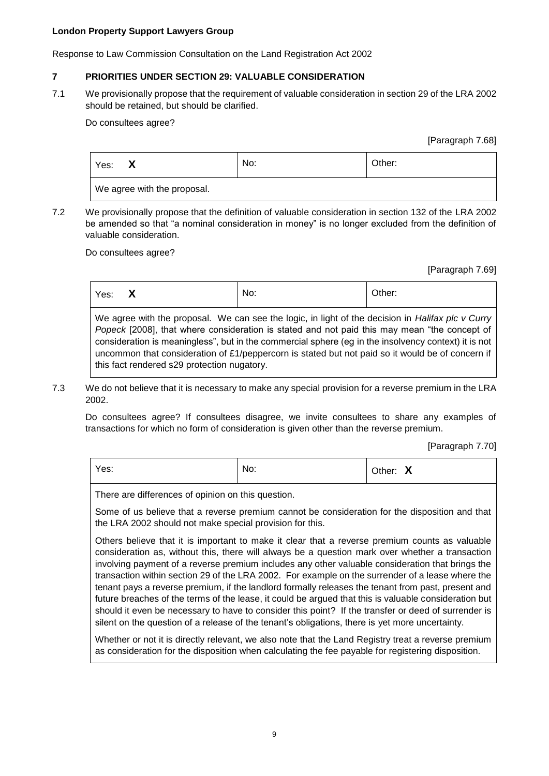Response to Law Commission Consultation on the Land Registration Act 2002

# **7 PRIORITIES UNDER SECTION 29: VALUABLE CONSIDERATION**

7.1 We provisionally propose that the requirement of valuable consideration in section 29 of the LRA 2002 should be retained, but should be clarified.

Do consultees agree?

[Paragraph 7.68]

| Yes:                        | No: | Other: |
|-----------------------------|-----|--------|
| We agree with the proposal. |     |        |

7.2 We provisionally propose that the definition of valuable consideration in section 132 of the LRA 2002 be amended so that "a nominal consideration in money" is no longer excluded from the definition of valuable consideration.

Do consultees agree?

[Paragraph 7.69]

| Yes: | $\mathbf{v}$<br>Λ | No: | Other: |
|------|-------------------|-----|--------|
|      |                   |     |        |

We agree with the proposal. We can see the logic, in light of the decision in *Halifax plc v Curry Popeck* [2008], that where consideration is stated and not paid this may mean "the concept of consideration is meaningless", but in the commercial sphere (eg in the insolvency context) it is not uncommon that consideration of £1/peppercorn is stated but not paid so it would be of concern if this fact rendered s29 protection nugatory.

7.3 We do not believe that it is necessary to make any special provision for a reverse premium in the LRA 2002.

Do consultees agree? If consultees disagree, we invite consultees to share any examples of transactions for which no form of consideration is given other than the reverse premium.

[Paragraph 7.70]

| Yes: | No: | $\sim$ $\sim$<br>Other:<br>$\boldsymbol{\mathsf{A}}$ |
|------|-----|------------------------------------------------------|
|------|-----|------------------------------------------------------|

There are differences of opinion on this question.

Some of us believe that a reverse premium cannot be consideration for the disposition and that the LRA 2002 should not make special provision for this.

Others believe that it is important to make it clear that a reverse premium counts as valuable consideration as, without this, there will always be a question mark over whether a transaction involving payment of a reverse premium includes any other valuable consideration that brings the transaction within section 29 of the LRA 2002. For example on the surrender of a lease where the tenant pays a reverse premium, if the landlord formally releases the tenant from past, present and future breaches of the terms of the lease, it could be argued that this is valuable consideration but should it even be necessary to have to consider this point? If the transfer or deed of surrender is silent on the question of a release of the tenant's obligations, there is yet more uncertainty.

Whether or not it is directly relevant, we also note that the Land Registry treat a reverse premium as consideration for the disposition when calculating the fee payable for registering disposition.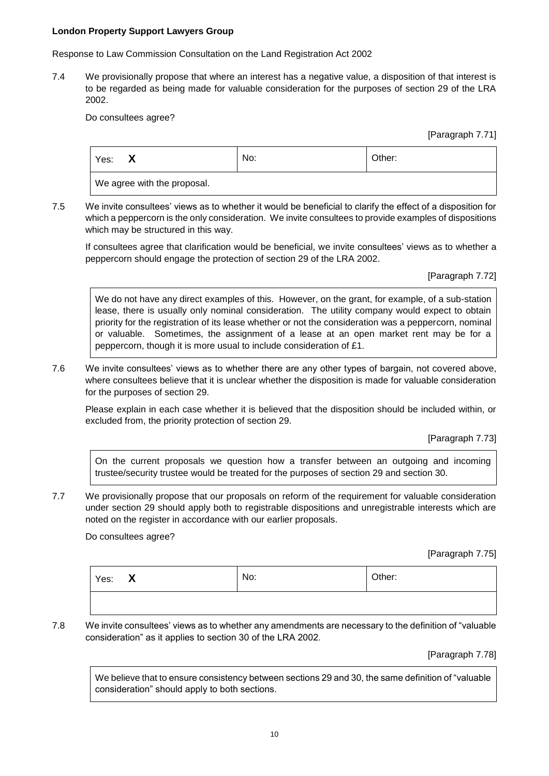Response to Law Commission Consultation on the Land Registration Act 2002

7.4 We provisionally propose that where an interest has a negative value, a disposition of that interest is to be regarded as being made for valuable consideration for the purposes of section 29 of the LRA 2002.

Do consultees agree?

[Paragraph 7.71]

| Yes:                                                 | X | No: | Other: |
|------------------------------------------------------|---|-----|--------|
| $1.381 - 2.002 - 0.024$ which the contract of $\sim$ |   |     |        |

We agree with the proposal.

7.5 We invite consultees' views as to whether it would be beneficial to clarify the effect of a disposition for which a peppercorn is the only consideration. We invite consultees to provide examples of dispositions which may be structured in this way.

If consultees agree that clarification would be beneficial, we invite consultees' views as to whether a peppercorn should engage the protection of section 29 of the LRA 2002.

[Paragraph 7.72]

We do not have any direct examples of this. However, on the grant, for example, of a sub-station lease, there is usually only nominal consideration. The utility company would expect to obtain priority for the registration of its lease whether or not the consideration was a peppercorn, nominal or valuable. Sometimes, the assignment of a lease at an open market rent may be for a peppercorn, though it is more usual to include consideration of £1.

7.6 We invite consultees' views as to whether there are any other types of bargain, not covered above, where consultees believe that it is unclear whether the disposition is made for valuable consideration for the purposes of section 29.

Please explain in each case whether it is believed that the disposition should be included within, or excluded from, the priority protection of section 29.

[Paragraph 7.73]

On the current proposals we question how a transfer between an outgoing and incoming trustee/security trustee would be treated for the purposes of section 29 and section 30.

7.7 We provisionally propose that our proposals on reform of the requirement for valuable consideration under section 29 should apply both to registrable dispositions and unregistrable interests which are noted on the register in accordance with our earlier proposals.

Do consultees agree?

[Paragraph 7.75]

| Yes: X | No: | Other: |
|--------|-----|--------|
|        |     |        |

7.8 We invite consultees' views as to whether any amendments are necessary to the definition of "valuable consideration" as it applies to section 30 of the LRA 2002.

[Paragraph 7.78]

We believe that to ensure consistency between sections 29 and 30, the same definition of "valuable consideration" should apply to both sections.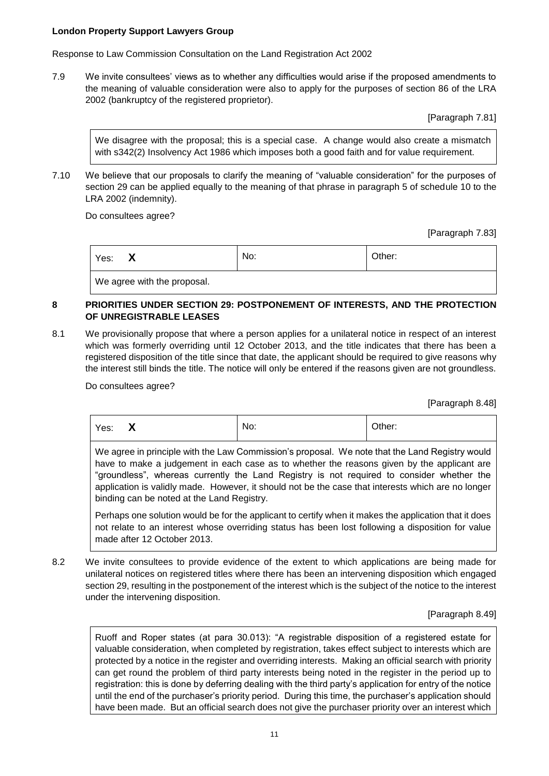Response to Law Commission Consultation on the Land Registration Act 2002

7.9 We invite consultees' views as to whether any difficulties would arise if the proposed amendments to the meaning of valuable consideration were also to apply for the purposes of section 86 of the LRA 2002 (bankruptcy of the registered proprietor).

[Paragraph 7.81]

We disagree with the proposal; this is a special case. A change would also create a mismatch with s342(2) Insolvency Act 1986 which imposes both a good faith and for value requirement.

7.10 We believe that our proposals to clarify the meaning of "valuable consideration" for the purposes of section 29 can be applied equally to the meaning of that phrase in paragraph 5 of schedule 10 to the LRA 2002 (indemnity).

Do consultees agree?

[Paragraph 7.83]

|  | $\mathbf{v}$<br>Yes:<br>$\mathbf{v}$ | No: | Other: |
|--|--------------------------------------|-----|--------|
|--|--------------------------------------|-----|--------|

We agree with the proposal.

# **8 PRIORITIES UNDER SECTION 29: POSTPONEMENT OF INTERESTS, AND THE PROTECTION OF UNREGISTRABLE LEASES**

8.1 We provisionally propose that where a person applies for a unilateral notice in respect of an interest which was formerly overriding until 12 October 2013, and the title indicates that there has been a registered disposition of the title since that date, the applicant should be required to give reasons why the interest still binds the title. The notice will only be entered if the reasons given are not groundless.

Do consultees agree?

[Paragraph 8.48]

| Other:<br>No:<br>$\blacksquare$<br>Yes:<br>$\mathbf{v}$ |  |
|---------------------------------------------------------|--|
|---------------------------------------------------------|--|

We agree in principle with the Law Commission's proposal. We note that the Land Registry would have to make a judgement in each case as to whether the reasons given by the applicant are "groundless", whereas currently the Land Registry is not required to consider whether the application is validly made. However, it should not be the case that interests which are no longer binding can be noted at the Land Registry.

Perhaps one solution would be for the applicant to certify when it makes the application that it does not relate to an interest whose overriding status has been lost following a disposition for value made after 12 October 2013.

8.2 We invite consultees to provide evidence of the extent to which applications are being made for unilateral notices on registered titles where there has been an intervening disposition which engaged section 29, resulting in the postponement of the interest which is the subject of the notice to the interest under the intervening disposition.

[Paragraph 8.49]

Ruoff and Roper states (at para 30.013): "A registrable disposition of a registered estate for valuable consideration, when completed by registration, takes effect subject to interests which are protected by a notice in the register and overriding interests. Making an official search with priority can get round the problem of third party interests being noted in the register in the period up to registration: this is done by deferring dealing with the third party's application for entry of the notice until the end of the purchaser's priority period. During this time, the purchaser's application should have been made. But an official search does not give the purchaser priority over an interest which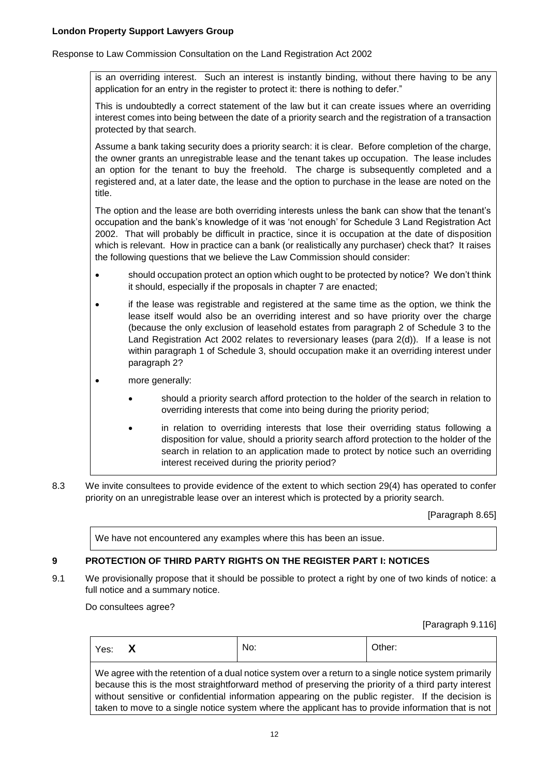Response to Law Commission Consultation on the Land Registration Act 2002

is an overriding interest. Such an interest is instantly binding, without there having to be any application for an entry in the register to protect it: there is nothing to defer."

This is undoubtedly a correct statement of the law but it can create issues where an overriding interest comes into being between the date of a priority search and the registration of a transaction protected by that search.

Assume a bank taking security does a priority search: it is clear. Before completion of the charge, the owner grants an unregistrable lease and the tenant takes up occupation. The lease includes an option for the tenant to buy the freehold. The charge is subsequently completed and a registered and, at a later date, the lease and the option to purchase in the lease are noted on the title.

The option and the lease are both overriding interests unless the bank can show that the tenant's occupation and the bank's knowledge of it was 'not enough' for Schedule 3 Land Registration Act 2002. That will probably be difficult in practice, since it is occupation at the date of disposition which is relevant. How in practice can a bank (or realistically any purchaser) check that? It raises the following questions that we believe the Law Commission should consider:

- should occupation protect an option which ought to be protected by notice? We don't think it should, especially if the proposals in chapter 7 are enacted;
- if the lease was registrable and registered at the same time as the option, we think the lease itself would also be an overriding interest and so have priority over the charge (because the only exclusion of leasehold estates from paragraph 2 of Schedule 3 to the Land Registration Act 2002 relates to reversionary leases (para  $2(d)$ ). If a lease is not within paragraph 1 of Schedule 3, should occupation make it an overriding interest under paragraph 2?
- more generally:
	- should a priority search afford protection to the holder of the search in relation to overriding interests that come into being during the priority period;
	- in relation to overriding interests that lose their overriding status following a disposition for value, should a priority search afford protection to the holder of the search in relation to an application made to protect by notice such an overriding interest received during the priority period?
- 8.3 We invite consultees to provide evidence of the extent to which section 29(4) has operated to confer priority on an unregistrable lease over an interest which is protected by a priority search.

[Paragraph 8.65]

We have not encountered any examples where this has been an issue.

# **9 PROTECTION OF THIRD PARTY RIGHTS ON THE REGISTER PART I: NOTICES**

9.1 We provisionally propose that it should be possible to protect a right by one of two kinds of notice: a full notice and a summary notice.

Do consultees agree?

[Paragraph 9.116]

| Yes: | $\blacksquare$<br>$\overline{\phantom{a}}$ | N<br>. . | $\sim$ .<br>. וסו |
|------|--------------------------------------------|----------|-------------------|
|      |                                            |          |                   |

We agree with the retention of a dual notice system over a return to a single notice system primarily because this is the most straightforward method of preserving the priority of a third party interest without sensitive or confidential information appearing on the public register. If the decision is taken to move to a single notice system where the applicant has to provide information that is not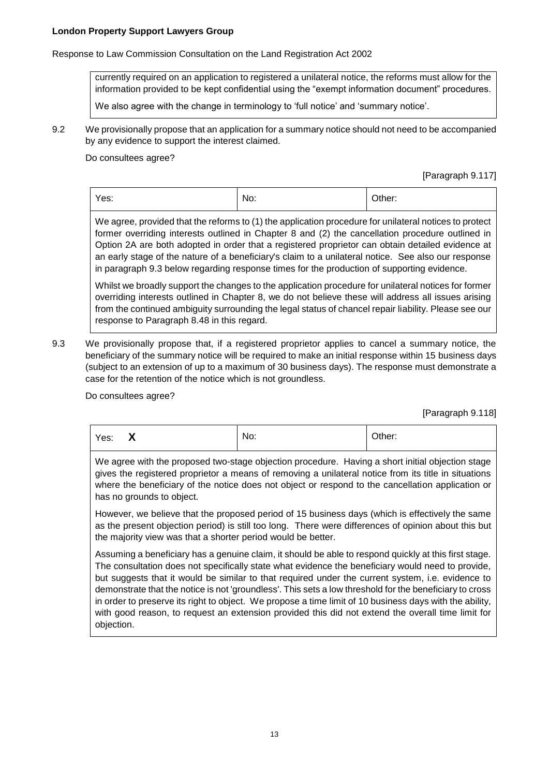Response to Law Commission Consultation on the Land Registration Act 2002

currently required on an application to registered a unilateral notice, the reforms must allow for the information provided to be kept confidential using the "exempt information document" procedures.

We also agree with the change in terminology to 'full notice' and 'summary notice'.

9.2 We provisionally propose that an application for a summary notice should not need to be accompanied by any evidence to support the interest claimed.

### Do consultees agree?

[Paragraph 9.117]

| Yes: | No: | Other: |
|------|-----|--------|
|      |     |        |

We agree, provided that the reforms to (1) the application procedure for unilateral notices to protect former overriding interests outlined in Chapter 8 and (2) the cancellation procedure outlined in Option 2A are both adopted in order that a registered proprietor can obtain detailed evidence at an early stage of the nature of a beneficiary's claim to a unilateral notice. See also our response in paragraph 9.3 below regarding response times for the production of supporting evidence.

Whilst we broadly support the changes to the application procedure for unilateral notices for former overriding interests outlined in Chapter 8, we do not believe these will address all issues arising from the continued ambiguity surrounding the legal status of chancel repair liability. Please see our response to Paragraph 8.48 in this regard.

9.3 We provisionally propose that, if a registered proprietor applies to cancel a summary notice, the beneficiary of the summary notice will be required to make an initial response within 15 business days (subject to an extension of up to a maximum of 30 business days). The response must demonstrate a case for the retention of the notice which is not groundless.

Do consultees agree?

[Paragraph 9.118]

| Yes: | $\mathbf{v}$<br>$\mathbf{v}$ | No: | Other: |
|------|------------------------------|-----|--------|
|      |                              |     |        |

We agree with the proposed two-stage objection procedure. Having a short initial objection stage gives the registered proprietor a means of removing a unilateral notice from its title in situations where the beneficiary of the notice does not object or respond to the cancellation application or has no grounds to object.

However, we believe that the proposed period of 15 business days (which is effectively the same as the present objection period) is still too long. There were differences of opinion about this but the majority view was that a shorter period would be better.

Assuming a beneficiary has a genuine claim, it should be able to respond quickly at this first stage. The consultation does not specifically state what evidence the beneficiary would need to provide, but suggests that it would be similar to that required under the current system, i.e. evidence to demonstrate that the notice is not 'groundless'. This sets a low threshold for the beneficiary to cross in order to preserve its right to object. We propose a time limit of 10 business days with the ability, with good reason, to request an extension provided this did not extend the overall time limit for objection.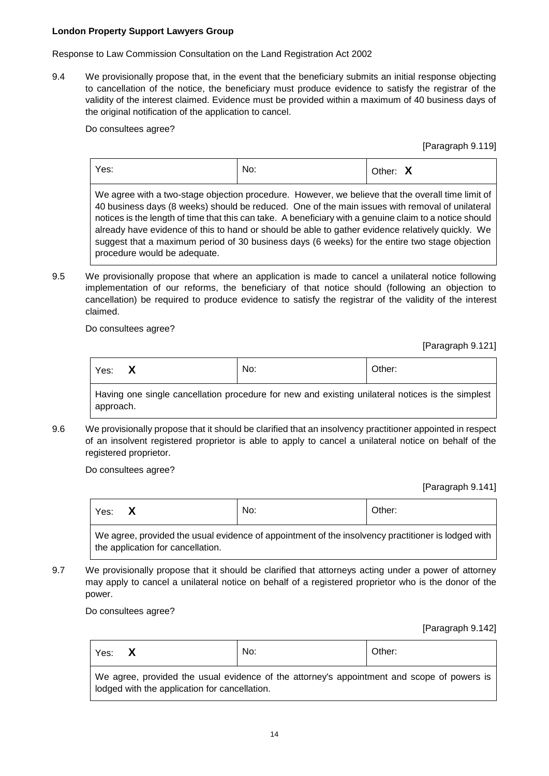Response to Law Commission Consultation on the Land Registration Act 2002

9.4 We provisionally propose that, in the event that the beneficiary submits an initial response objecting to cancellation of the notice, the beneficiary must produce evidence to satisfy the registrar of the validity of the interest claimed. Evidence must be provided within a maximum of 40 business days of the original notification of the application to cancel.

Do consultees agree?

[Paragraph 9.119]

| Yes:                                                                                                                                                                                                                                                                                                                                                                                                                                                                                                                                                   | No: | Other: X |
|--------------------------------------------------------------------------------------------------------------------------------------------------------------------------------------------------------------------------------------------------------------------------------------------------------------------------------------------------------------------------------------------------------------------------------------------------------------------------------------------------------------------------------------------------------|-----|----------|
| We agree with a two-stage objection procedure. However, we believe that the overall time limit of<br>40 business days (8 weeks) should be reduced. One of the main issues with removal of unilateral<br>notices is the length of time that this can take. A beneficiary with a genuine claim to a notice should<br>already have evidence of this to hand or should be able to gather evidence relatively quickly. We<br>suggest that a maximum period of 30 business days (6 weeks) for the entire two stage objection<br>procedure would be adequate. |     |          |

9.5 We provisionally propose that where an application is made to cancel a unilateral notice following implementation of our reforms, the beneficiary of that notice should (following an objection to cancellation) be required to produce evidence to satisfy the registrar of the validity of the interest claimed.

Do consultees agree?

[Paragraph 9.121]

| Yes:                                                                                               |  | No: | Other: |
|----------------------------------------------------------------------------------------------------|--|-----|--------|
| I Having one single cancellation procedure for new and existing unilateral notices is the simplest |  |     |        |

Having one single cancellation procedure for new and existing unilateral notices is the simplest approach.

9.6 We provisionally propose that it should be clarified that an insolvency practitioner appointed in respect of an insolvent registered proprietor is able to apply to cancel a unilateral notice on behalf of the registered proprietor.

Do consultees agree?

[Paragraph 9.141]

| Yes: | $\blacksquare$<br>$\boldsymbol{\mathsf{A}}$ | No: | Other: |
|------|---------------------------------------------|-----|--------|
|      |                                             |     |        |

We agree, provided the usual evidence of appointment of the insolvency practitioner is lodged with the application for cancellation.

9.7 We provisionally propose that it should be clarified that attorneys acting under a power of attorney may apply to cancel a unilateral notice on behalf of a registered proprietor who is the donor of the power.

Do consultees agree?

[Paragraph 9.142]

| Yes: $\bm{X}$                                                                                                                               | No: | Other: |  |
|---------------------------------------------------------------------------------------------------------------------------------------------|-----|--------|--|
| We agree, provided the usual evidence of the attorney's appointment and scope of powers is<br>lodged with the application for cancellation. |     |        |  |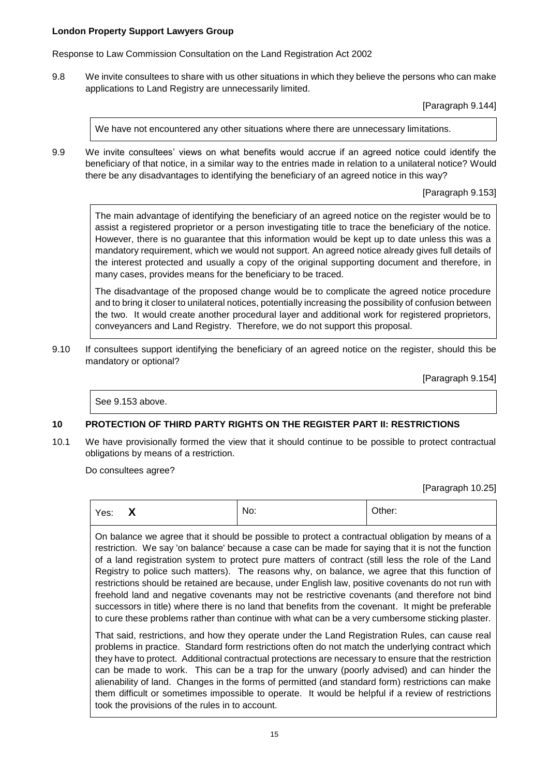Response to Law Commission Consultation on the Land Registration Act 2002

9.8 We invite consultees to share with us other situations in which they believe the persons who can make applications to Land Registry are unnecessarily limited.

[Paragraph 9.144]

We have not encountered any other situations where there are unnecessary limitations.

9.9 We invite consultees' views on what benefits would accrue if an agreed notice could identify the beneficiary of that notice, in a similar way to the entries made in relation to a unilateral notice? Would there be any disadvantages to identifying the beneficiary of an agreed notice in this way?

[Paragraph 9.153]

The main advantage of identifying the beneficiary of an agreed notice on the register would be to assist a registered proprietor or a person investigating title to trace the beneficiary of the notice. However, there is no guarantee that this information would be kept up to date unless this was a mandatory requirement, which we would not support. An agreed notice already gives full details of the interest protected and usually a copy of the original supporting document and therefore, in many cases, provides means for the beneficiary to be traced.

The disadvantage of the proposed change would be to complicate the agreed notice procedure and to bring it closer to unilateral notices, potentially increasing the possibility of confusion between the two. It would create another procedural layer and additional work for registered proprietors, conveyancers and Land Registry. Therefore, we do not support this proposal.

9.10 If consultees support identifying the beneficiary of an agreed notice on the register, should this be mandatory or optional?

[Paragraph 9.154]

See 9.153 above.

## **10 PROTECTION OF THIRD PARTY RIGHTS ON THE REGISTER PART II: RESTRICTIONS**

10.1 We have provisionally formed the view that it should continue to be possible to protect contractual obligations by means of a restriction.

Do consultees agree?

[Paragraph 10.25]

| Yes: | No:                                                                                              | Other: |
|------|--------------------------------------------------------------------------------------------------|--------|
|      | On holones we cares that it abould be pessible to protect a contractual obligation by means of a |        |

On balance we agree that it should be possible to protect a contractual obligation by means of a restriction. We say 'on balance' because a case can be made for saying that it is not the function of a land registration system to protect pure matters of contract (still less the role of the Land Registry to police such matters). The reasons why, on balance, we agree that this function of restrictions should be retained are because, under English law, positive covenants do not run with freehold land and negative covenants may not be restrictive covenants (and therefore not bind successors in title) where there is no land that benefits from the covenant. It might be preferable to cure these problems rather than continue with what can be a very cumbersome sticking plaster.

That said, restrictions, and how they operate under the Land Registration Rules, can cause real problems in practice. Standard form restrictions often do not match the underlying contract which they have to protect. Additional contractual protections are necessary to ensure that the restriction can be made to work. This can be a trap for the unwary (poorly advised) and can hinder the alienability of land. Changes in the forms of permitted (and standard form) restrictions can make them difficult or sometimes impossible to operate. It would be helpful if a review of restrictions took the provisions of the rules in to account.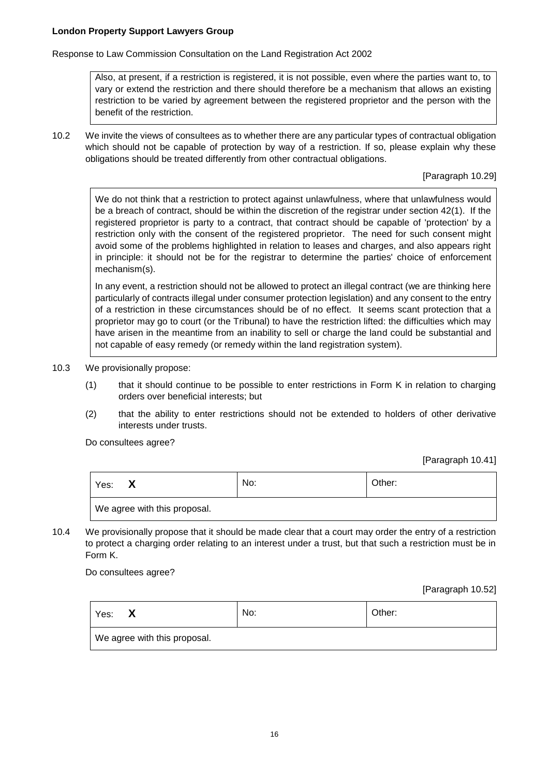Response to Law Commission Consultation on the Land Registration Act 2002

Also, at present, if a restriction is registered, it is not possible, even where the parties want to, to vary or extend the restriction and there should therefore be a mechanism that allows an existing restriction to be varied by agreement between the registered proprietor and the person with the benefit of the restriction.

10.2 We invite the views of consultees as to whether there are any particular types of contractual obligation which should not be capable of protection by way of a restriction. If so, please explain why these obligations should be treated differently from other contractual obligations.

[Paragraph 10.29]

We do not think that a restriction to protect against unlawfulness, where that unlawfulness would be a breach of contract, should be within the discretion of the registrar under section 42(1). If the registered proprietor is party to a contract, that contract should be capable of 'protection' by a restriction only with the consent of the registered proprietor. The need for such consent might avoid some of the problems highlighted in relation to leases and charges, and also appears right in principle: it should not be for the registrar to determine the parties' choice of enforcement mechanism(s).

In any event, a restriction should not be allowed to protect an illegal contract (we are thinking here particularly of contracts illegal under consumer protection legislation) and any consent to the entry of a restriction in these circumstances should be of no effect. It seems scant protection that a proprietor may go to court (or the Tribunal) to have the restriction lifted: the difficulties which may have arisen in the meantime from an inability to sell or charge the land could be substantial and not capable of easy remedy (or remedy within the land registration system).

- 10.3 We provisionally propose:
	- (1) that it should continue to be possible to enter restrictions in Form K in relation to charging orders over beneficial interests; but
	- (2) that the ability to enter restrictions should not be extended to holders of other derivative interests under trusts.

Do consultees agree?

[Paragraph 10.41]

| Yes:<br>л                    | No: | Other: |
|------------------------------|-----|--------|
| We agree with this proposal. |     |        |

10.4 We provisionally propose that it should be made clear that a court may order the entry of a restriction to protect a charging order relating to an interest under a trust, but that such a restriction must be in Form K.

Do consultees agree?

[Paragraph 10.52]

| Yes:<br>х                    | No: | Other: |
|------------------------------|-----|--------|
| We agree with this proposal. |     |        |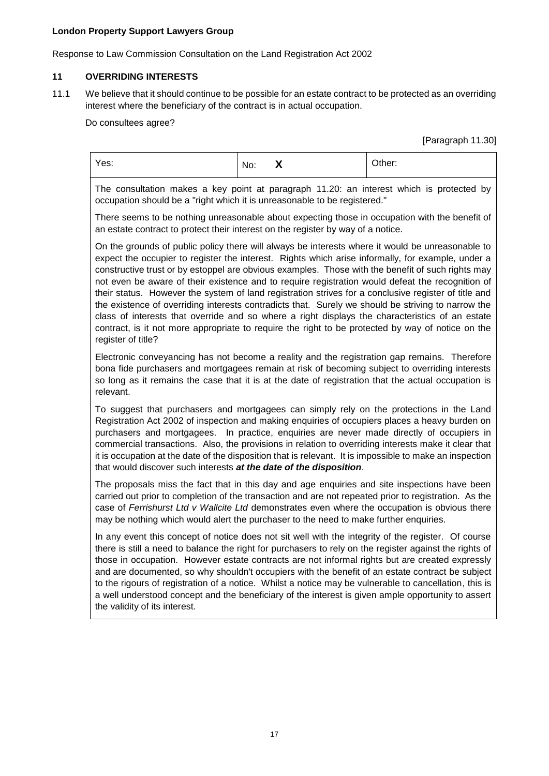Response to Law Commission Consultation on the Land Registration Act 2002

# **11 OVERRIDING INTERESTS**

11.1 We believe that it should continue to be possible for an estate contract to be protected as an overriding interest where the beneficiary of the contract is in actual occupation.

Do consultees agree?

[Paragraph 11.30]

| Yes:                                                                                                                                                                                                                                                                                                                                                                                                                                                                                                                                                                                                                                                                                                                                                                                                                                                       | X<br>No: | Other: |
|------------------------------------------------------------------------------------------------------------------------------------------------------------------------------------------------------------------------------------------------------------------------------------------------------------------------------------------------------------------------------------------------------------------------------------------------------------------------------------------------------------------------------------------------------------------------------------------------------------------------------------------------------------------------------------------------------------------------------------------------------------------------------------------------------------------------------------------------------------|----------|--------|
| The consultation makes a key point at paragraph 11.20: an interest which is protected by<br>occupation should be a "right which it is unreasonable to be registered."                                                                                                                                                                                                                                                                                                                                                                                                                                                                                                                                                                                                                                                                                      |          |        |
| There seems to be nothing unreasonable about expecting those in occupation with the benefit of<br>an estate contract to protect their interest on the register by way of a notice.                                                                                                                                                                                                                                                                                                                                                                                                                                                                                                                                                                                                                                                                         |          |        |
| On the grounds of public policy there will always be interests where it would be unreasonable to<br>expect the occupier to register the interest. Rights which arise informally, for example, under a<br>constructive trust or by estoppel are obvious examples. Those with the benefit of such rights may<br>not even be aware of their existence and to require registration would defeat the recognition of<br>their status. However the system of land registration strives for a conclusive register of title and<br>the existence of overriding interests contradicts that. Surely we should be striving to narrow the<br>class of interests that override and so where a right displays the characteristics of an estate<br>contract, is it not more appropriate to require the right to be protected by way of notice on the<br>register of title? |          |        |
| Electronic conveyancing has not become a reality and the registration gap remains. Therefore<br>bona fide purchasers and mortgagees remain at risk of becoming subject to overriding interests<br>so long as it remains the case that it is at the date of registration that the actual occupation is<br>relevant.                                                                                                                                                                                                                                                                                                                                                                                                                                                                                                                                         |          |        |
| To suggest that purchasers and mortgagees can simply rely on the protections in the Land<br>Registration Act 2002 of inspection and making enquiries of occupiers places a heavy burden on<br>purchasers and mortgagees. In practice, enquiries are never made directly of occupiers in<br>commercial transactions. Also, the provisions in relation to overriding interests make it clear that<br>it is occupation at the date of the disposition that is relevant. It is impossible to make an inspection<br>that would discover such interests at the date of the disposition.                                                                                                                                                                                                                                                                          |          |        |
| The proposals miss the fact that in this day and age enquiries and site inspections have been<br>carried out prior to completion of the transaction and are not repeated prior to registration. As the<br>case of Ferrishurst Ltd v Wallcite Ltd demonstrates even where the occupation is obvious there<br>may be nothing which would alert the purchaser to the need to make further enquiries.                                                                                                                                                                                                                                                                                                                                                                                                                                                          |          |        |
| In any event this concept of notice does not sit well with the integrity of the register. Of course<br>there is still a need to balance the right for purchasers to rely on the register against the rights of<br>those in occupation. However estate contracts are not informal rights but are created expressly<br>and are documented, so why shouldn't occupiers with the benefit of an estate contract be subject<br>to the rigours of registration of a notice. Whilst a notice may be vulnerable to cancellation, this is<br>a well understood concept and the beneficiary of the interest is given ample opportunity to assert<br>the validity of its interest.                                                                                                                                                                                     |          |        |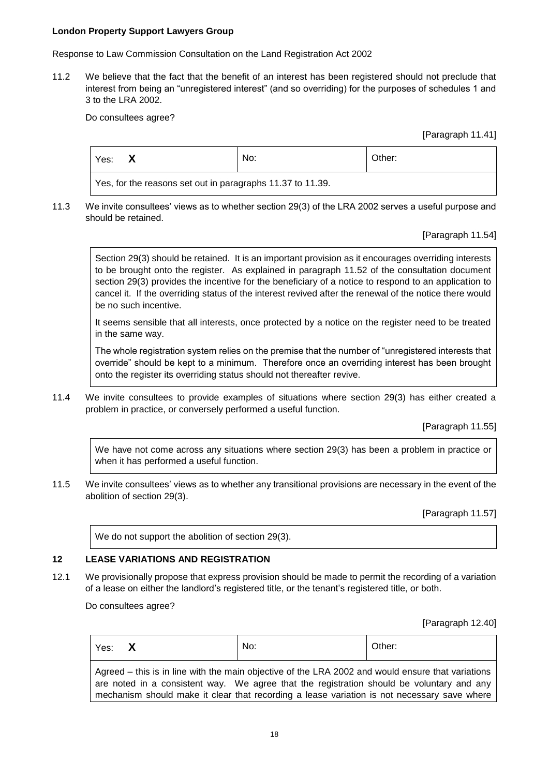Response to Law Commission Consultation on the Land Registration Act 2002

11.2 We believe that the fact that the benefit of an interest has been registered should not preclude that interest from being an "unregistered interest" (and so overriding) for the purposes of schedules 1 and 3 to the LRA 2002.

Do consultees agree?

[Paragraph 11.41]

| Yes:                                                       | No: | Other: |
|------------------------------------------------------------|-----|--------|
| Yes, for the reasons set out in paragraphs 11.37 to 11.39. |     |        |

11.3 We invite consultees' views as to whether section 29(3) of the LRA 2002 serves a useful purpose and should be retained.

## [Paragraph 11.54]

Section 29(3) should be retained. It is an important provision as it encourages overriding interests to be brought onto the register. As explained in paragraph 11.52 of the consultation document section 29(3) provides the incentive for the beneficiary of a notice to respond to an application to cancel it. If the overriding status of the interest revived after the renewal of the notice there would be no such incentive.

It seems sensible that all interests, once protected by a notice on the register need to be treated in the same way.

The whole registration system relies on the premise that the number of "unregistered interests that override" should be kept to a minimum. Therefore once an overriding interest has been brought onto the register its overriding status should not thereafter revive.

11.4 We invite consultees to provide examples of situations where section 29(3) has either created a problem in practice, or conversely performed a useful function.

[Paragraph 11.55]

We have not come across any situations where section 29(3) has been a problem in practice or when it has performed a useful function.

11.5 We invite consultees' views as to whether any transitional provisions are necessary in the event of the abolition of section 29(3).

[Paragraph 11.57]

We do not support the abolition of section 29(3).

# **12 LEASE VARIATIONS AND REGISTRATION**

12.1 We provisionally propose that express provision should be made to permit the recording of a variation of a lease on either the landlord's registered title, or the tenant's registered title, or both.

Do consultees agree?

Г

[Paragraph 12.40]

| Agreed – this is in line with the main objective of the LRA 2002 and would ensure that variations                                                                                        | Yes: X | No: | Other: |
|------------------------------------------------------------------------------------------------------------------------------------------------------------------------------------------|--------|-----|--------|
| are noted in a consistent way. We agree that the registration should be voluntary and any<br>mechanism should make it clear that recording a lease variation is not necessary save where |        |     |        |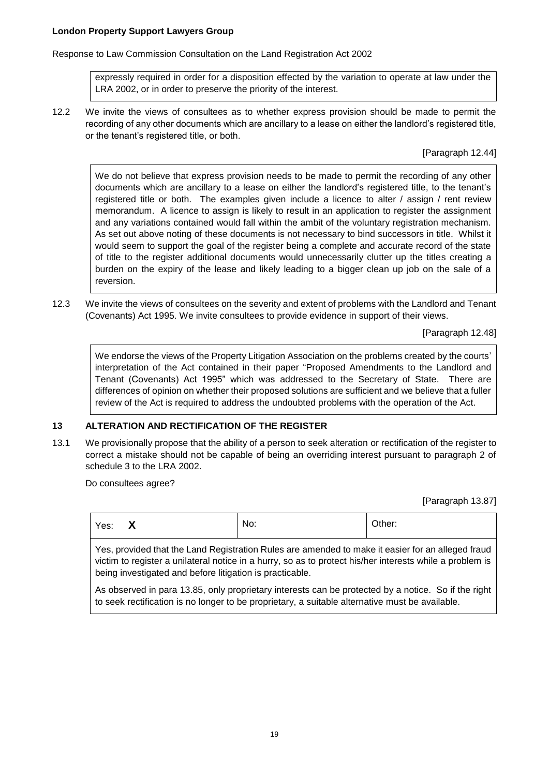Response to Law Commission Consultation on the Land Registration Act 2002

expressly required in order for a disposition effected by the variation to operate at law under the LRA 2002, or in order to preserve the priority of the interest.

12.2 We invite the views of consultees as to whether express provision should be made to permit the recording of any other documents which are ancillary to a lease on either the landlord's registered title, or the tenant's registered title, or both.

[Paragraph 12.44]

We do not believe that express provision needs to be made to permit the recording of any other documents which are ancillary to a lease on either the landlord's registered title, to the tenant's registered title or both. The examples given include a licence to alter / assign / rent review memorandum. A licence to assign is likely to result in an application to register the assignment and any variations contained would fall within the ambit of the voluntary registration mechanism. As set out above noting of these documents is not necessary to bind successors in title. Whilst it would seem to support the goal of the register being a complete and accurate record of the state of title to the register additional documents would unnecessarily clutter up the titles creating a burden on the expiry of the lease and likely leading to a bigger clean up job on the sale of a reversion.

12.3 We invite the views of consultees on the severity and extent of problems with the Landlord and Tenant (Covenants) Act 1995. We invite consultees to provide evidence in support of their views.

[Paragraph 12.48]

We endorse the views of the Property Litigation Association on the problems created by the courts' interpretation of the Act contained in their paper "Proposed Amendments to the Landlord and Tenant (Covenants) Act 1995" which was addressed to the Secretary of State. There are differences of opinion on whether their proposed solutions are sufficient and we believe that a fuller review of the Act is required to address the undoubted problems with the operation of the Act.

# **13 ALTERATION AND RECTIFICATION OF THE REGISTER**

13.1 We provisionally propose that the ability of a person to seek alteration or rectification of the register to correct a mistake should not be capable of being an overriding interest pursuant to paragraph 2 of schedule 3 to the LRA 2002.

Do consultees agree?

[Paragraph 13.87]

| Yes: $\mathsf{X}$                                                                                                                                                                                                                                                         | No: | Other: |  |
|---------------------------------------------------------------------------------------------------------------------------------------------------------------------------------------------------------------------------------------------------------------------------|-----|--------|--|
| Yes, provided that the Land Registration Rules are amended to make it easier for an alleged fraud<br>victim to register a unilateral notice in a hurry, so as to protect his/her interests while a problem is<br>being investigated and before litigation is practicable. |     |        |  |
| As observed in para 13.85, only proprietary interests can be protected by a notice. So if the right<br>to seek rectification is no longer to be proprietary, a suitable alternative must be available.                                                                    |     |        |  |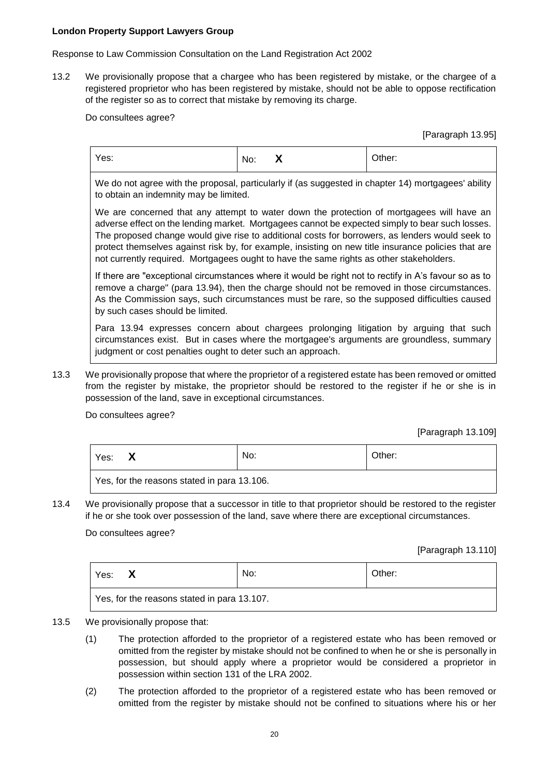Response to Law Commission Consultation on the Land Registration Act 2002

13.2 We provisionally propose that a chargee who has been registered by mistake, or the chargee of a registered proprietor who has been registered by mistake, should not be able to oppose rectification of the register so as to correct that mistake by removing its charge.

Do consultees agree?

[Paragraph 13.95]

| Yes: | $\mathbf{v}$<br>No:<br>$\mathbf{\Lambda}$ | Other: |
|------|-------------------------------------------|--------|
|------|-------------------------------------------|--------|

We do not agree with the proposal, particularly if (as suggested in chapter 14) mortgagees' ability to obtain an indemnity may be limited.

We are concerned that any attempt to water down the protection of mortgagees will have an adverse effect on the lending market. Mortgagees cannot be expected simply to bear such losses. The proposed change would give rise to additional costs for borrowers, as lenders would seek to protect themselves against risk by, for example, insisting on new title insurance policies that are not currently required. Mortgagees ought to have the same rights as other stakeholders.

If there are "exceptional circumstances where it would be right not to rectify in A's favour so as to remove a charge" (para 13.94), then the charge should not be removed in those circumstances. As the Commission says, such circumstances must be rare, so the supposed difficulties caused by such cases should be limited.

Para 13.94 expresses concern about chargees prolonging litigation by arguing that such circumstances exist. But in cases where the mortgagee's arguments are groundless, summary judgment or cost penalties ought to deter such an approach.

13.3 We provisionally propose that where the proprietor of a registered estate has been removed or omitted from the register by mistake, the proprietor should be restored to the register if he or she is in possession of the land, save in exceptional circumstances.

Do consultees agree?

[Paragraph 13.109]

| Yes:                                        | No: | Other: |
|---------------------------------------------|-----|--------|
| Yes, for the reasons stated in para 13.106. |     |        |

13.4 We provisionally propose that a successor in title to that proprietor should be restored to the register if he or she took over possession of the land, save where there are exceptional circumstances.

Do consultees agree?

[Paragraph 13.110]

| Yes:                                        |  | No: | Other: |
|---------------------------------------------|--|-----|--------|
| Yes, for the reasons stated in para 13.107. |  |     |        |

- 13.5 We provisionally propose that:
	- (1) The protection afforded to the proprietor of a registered estate who has been removed or omitted from the register by mistake should not be confined to when he or she is personally in possession, but should apply where a proprietor would be considered a proprietor in possession within section 131 of the LRA 2002.
	- (2) The protection afforded to the proprietor of a registered estate who has been removed or omitted from the register by mistake should not be confined to situations where his or her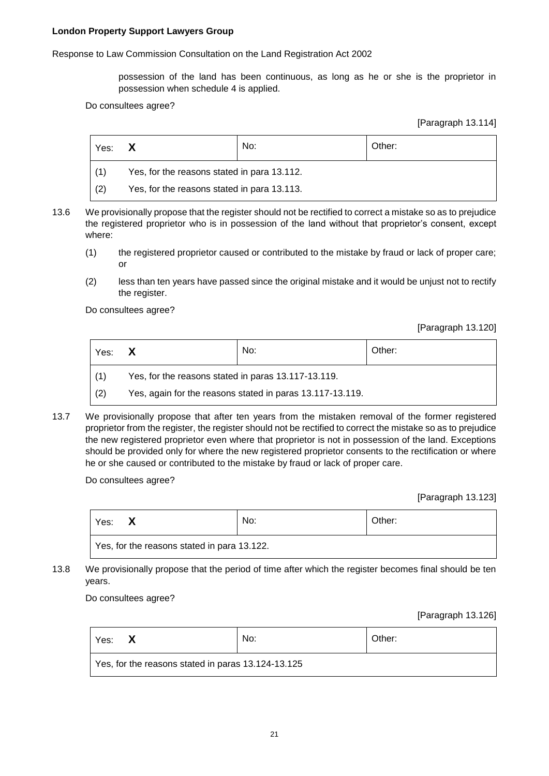Response to Law Commission Consultation on the Land Registration Act 2002

possession of the land has been continuous, as long as he or she is the proprietor in possession when schedule 4 is applied.

Do consultees agree?

[Paragraph 13.114]

| Yes: | X                                           | No: | Other: |
|------|---------------------------------------------|-----|--------|
|      | Yes, for the reasons stated in para 13.112. |     |        |
| (2)  | Yes, for the reasons stated in para 13.113. |     |        |

- 13.6 We provisionally propose that the register should not be rectified to correct a mistake so as to prejudice the registered proprietor who is in possession of the land without that proprietor's consent, except where:
	- (1) the registered proprietor caused or contributed to the mistake by fraud or lack of proper care; or
	- (2) less than ten years have passed since the original mistake and it would be unjust not to rectify the register.

Do consultees agree?

[Paragraph 13.120]

| Yes: | $\mathbf{x}$                                              | No: | Other: |
|------|-----------------------------------------------------------|-----|--------|
| (1)  | Yes, for the reasons stated in paras 13.117-13.119.       |     |        |
| (2)  | Yes, again for the reasons stated in paras 13.117-13.119. |     |        |

13.7 We provisionally propose that after ten years from the mistaken removal of the former registered proprietor from the register, the register should not be rectified to correct the mistake so as to prejudice the new registered proprietor even where that proprietor is not in possession of the land. Exceptions should be provided only for where the new registered proprietor consents to the rectification or where he or she caused or contributed to the mistake by fraud or lack of proper care.

Do consultees agree?

[Paragraph 13.123]

| Yes:                                        | No: | Other: |
|---------------------------------------------|-----|--------|
| Yes, for the reasons stated in para 13.122. |     |        |

13.8 We provisionally propose that the period of time after which the register becomes final should be ten years.

Do consultees agree?

[Paragraph 13.126]

| Yes:                                               |  | No: | Other: |
|----------------------------------------------------|--|-----|--------|
| Yes, for the reasons stated in paras 13.124-13.125 |  |     |        |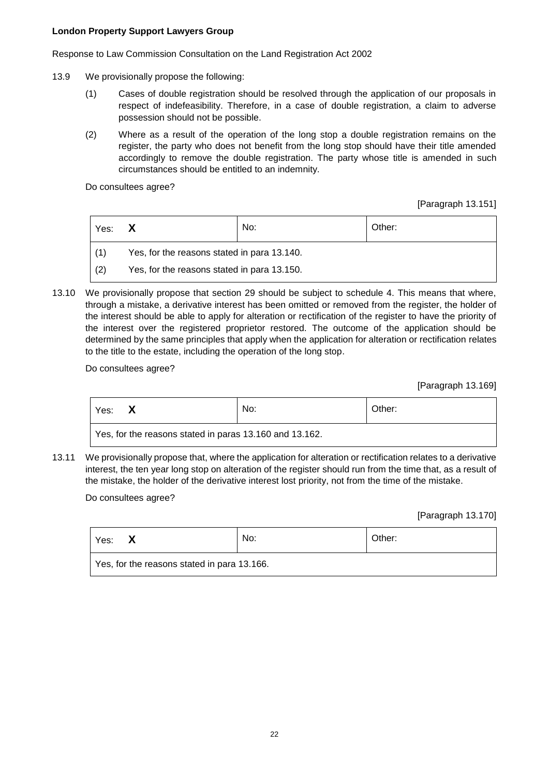Response to Law Commission Consultation on the Land Registration Act 2002

- 13.9 We provisionally propose the following:
	- (1) Cases of double registration should be resolved through the application of our proposals in respect of indefeasibility. Therefore, in a case of double registration, a claim to adverse possession should not be possible.
	- (2) Where as a result of the operation of the long stop a double registration remains on the register, the party who does not benefit from the long stop should have their title amended accordingly to remove the double registration. The party whose title is amended in such circumstances should be entitled to an indemnity.

Do consultees agree?

[Paragraph 13.151]

| Yes: $\mathsf{X}$ |                                             | No: | Other: |
|-------------------|---------------------------------------------|-----|--------|
|                   | Yes, for the reasons stated in para 13.140. |     |        |
| (2)               | Yes, for the reasons stated in para 13.150. |     |        |

13.10 We provisionally propose that section 29 should be subject to schedule 4. This means that where, through a mistake, a derivative interest has been omitted or removed from the register, the holder of the interest should be able to apply for alteration or rectification of the register to have the priority of the interest over the registered proprietor restored. The outcome of the application should be determined by the same principles that apply when the application for alteration or rectification relates to the title to the estate, including the operation of the long stop.

Do consultees agree?

[Paragraph 13.169]

| Yes:                                                    | No: | Other: |
|---------------------------------------------------------|-----|--------|
| Yes, for the reasons stated in paras 13.160 and 13.162. |     |        |

13.11 We provisionally propose that, where the application for alteration or rectification relates to a derivative interest, the ten year long stop on alteration of the register should run from the time that, as a result of the mistake, the holder of the derivative interest lost priority, not from the time of the mistake.

Do consultees agree?

[Paragraph 13.170]

| Yes:                                        | No: | Other: |
|---------------------------------------------|-----|--------|
| Yes, for the reasons stated in para 13.166. |     |        |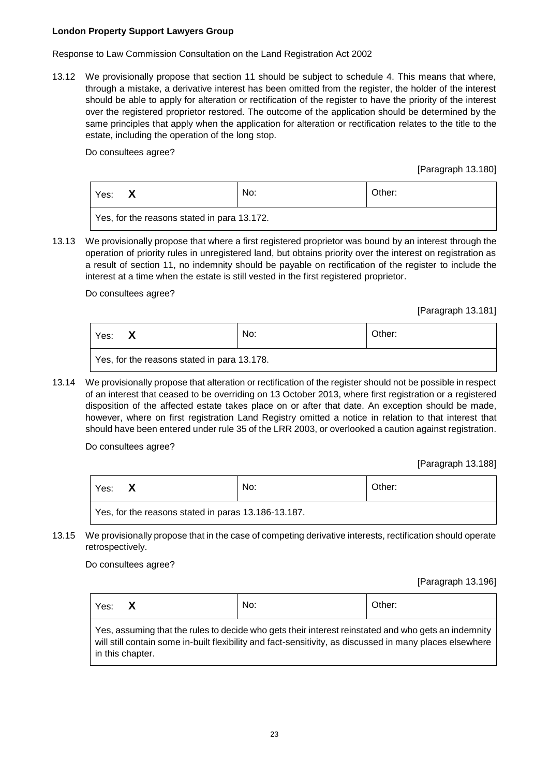Response to Law Commission Consultation on the Land Registration Act 2002

13.12 We provisionally propose that section 11 should be subject to schedule 4. This means that where, through a mistake, a derivative interest has been omitted from the register, the holder of the interest should be able to apply for alteration or rectification of the register to have the priority of the interest over the registered proprietor restored. The outcome of the application should be determined by the same principles that apply when the application for alteration or rectification relates to the title to the estate, including the operation of the long stop.

Do consultees agree?

[Paragraph 13.180]

| Yes:                                        |  | No: | Other: |
|---------------------------------------------|--|-----|--------|
| Yes, for the reasons stated in para 13.172. |  |     |        |

13.13 We provisionally propose that where a first registered proprietor was bound by an interest through the operation of priority rules in unregistered land, but obtains priority over the interest on registration as a result of section 11, no indemnity should be payable on rectification of the register to include the interest at a time when the estate is still vested in the first registered proprietor.

Do consultees agree?

[Paragraph 13.181]

| Yes:                                        |  | No: | Other: |
|---------------------------------------------|--|-----|--------|
| Yes, for the reasons stated in para 13.178. |  |     |        |

13.14 We provisionally propose that alteration or rectification of the register should not be possible in respect of an interest that ceased to be overriding on 13 October 2013, where first registration or a registered disposition of the affected estate takes place on or after that date. An exception should be made, however, where on first registration Land Registry omitted a notice in relation to that interest that should have been entered under rule 35 of the LRR 2003, or overlooked a caution against registration.

Do consultees agree?

[Paragraph 13.188]

| Yes:                                                | No: | Other: |
|-----------------------------------------------------|-----|--------|
| Yes, for the reasons stated in paras 13.186-13.187. |     |        |

13.15 We provisionally propose that in the case of competing derivative interests, rectification should operate retrospectively.

Do consultees agree?

[Paragraph 13.196]

| Yes: $\mathsf{X}$ |                  | No:                                                                                                                                                                                                             | Other: |
|-------------------|------------------|-----------------------------------------------------------------------------------------------------------------------------------------------------------------------------------------------------------------|--------|
|                   | in this chapter. | Yes, assuming that the rules to decide who gets their interest reinstated and who gets an indemnity<br>will still contain some in-built flexibility and fact-sensitivity, as discussed in many places elsewhere |        |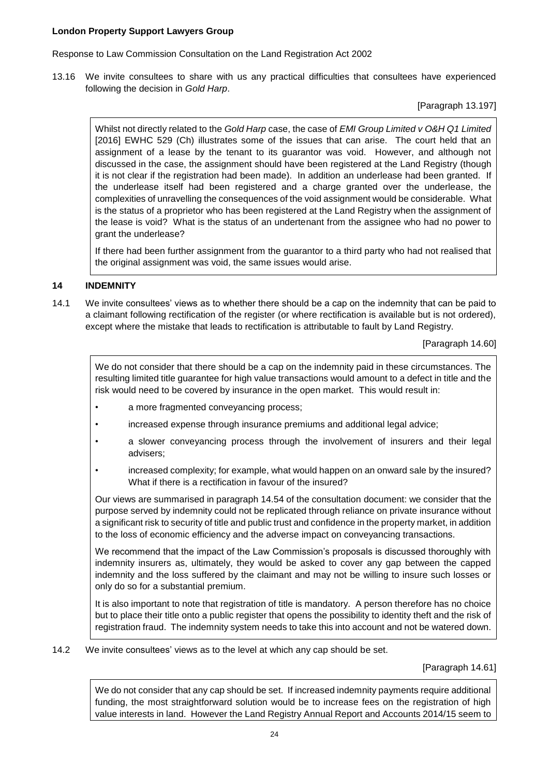Response to Law Commission Consultation on the Land Registration Act 2002

13.16 We invite consultees to share with us any practical difficulties that consultees have experienced following the decision in *Gold Harp*.

[Paragraph 13.197]

Whilst not directly related to the *Gold Harp* case, the case of *EMI Group Limited v O&H Q1 Limited* [2016] EWHC 529 (Ch) illustrates some of the issues that can arise. The court held that an assignment of a lease by the tenant to its guarantor was void. However, and although not discussed in the case, the assignment should have been registered at the Land Registry (though it is not clear if the registration had been made). In addition an underlease had been granted. If the underlease itself had been registered and a charge granted over the underlease, the complexities of unravelling the consequences of the void assignment would be considerable. What is the status of a proprietor who has been registered at the Land Registry when the assignment of the lease is void? What is the status of an undertenant from the assignee who had no power to grant the underlease?

If there had been further assignment from the guarantor to a third party who had not realised that the original assignment was void, the same issues would arise.

## **14 INDEMNITY**

14.1 We invite consultees' views as to whether there should be a cap on the indemnity that can be paid to a claimant following rectification of the register (or where rectification is available but is not ordered), except where the mistake that leads to rectification is attributable to fault by Land Registry.

[Paragraph 14.60]

We do not consider that there should be a cap on the indemnity paid in these circumstances. The resulting limited title guarantee for high value transactions would amount to a defect in title and the risk would need to be covered by insurance in the open market. This would result in:

- a more fragmented conveyancing process;
- increased expense through insurance premiums and additional legal advice;
- a slower conveyancing process through the involvement of insurers and their legal advisers;
- increased complexity; for example, what would happen on an onward sale by the insured? What if there is a rectification in favour of the insured?

Our views are summarised in paragraph 14.54 of the consultation document: we consider that the purpose served by indemnity could not be replicated through reliance on private insurance without a significant risk to security of title and public trust and confidence in the property market, in addition to the loss of economic efficiency and the adverse impact on conveyancing transactions.

We recommend that the impact of the Law Commission's proposals is discussed thoroughly with indemnity insurers as, ultimately, they would be asked to cover any gap between the capped indemnity and the loss suffered by the claimant and may not be willing to insure such losses or only do so for a substantial premium.

It is also important to note that registration of title is mandatory. A person therefore has no choice but to place their title onto a public register that opens the possibility to identity theft and the risk of registration fraud. The indemnity system needs to take this into account and not be watered down.

14.2 We invite consultees' views as to the level at which any cap should be set.

[Paragraph 14.61]

We do not consider that any cap should be set. If increased indemnity payments require additional funding, the most straightforward solution would be to increase fees on the registration of high value interests in land. However the Land Registry Annual Report and Accounts 2014/15 seem to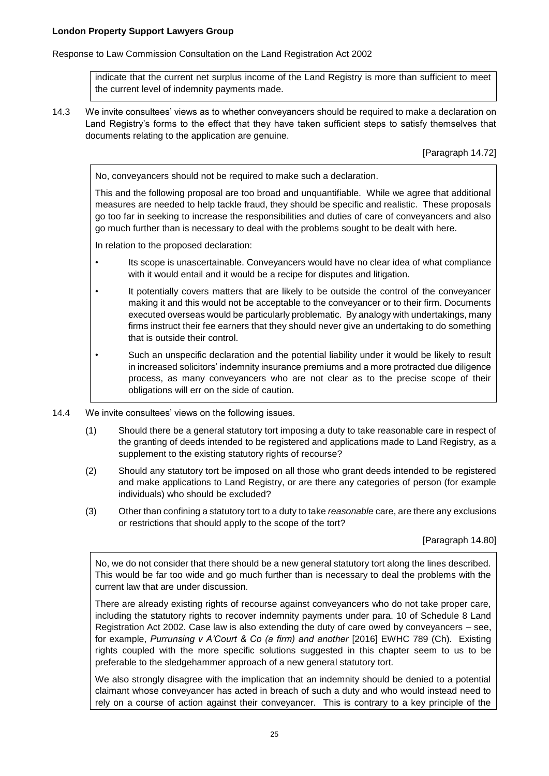Response to Law Commission Consultation on the Land Registration Act 2002

indicate that the current net surplus income of the Land Registry is more than sufficient to meet the current level of indemnity payments made.

14.3 We invite consultees' views as to whether conveyancers should be required to make a declaration on Land Registry's forms to the effect that they have taken sufficient steps to satisfy themselves that documents relating to the application are genuine.

[Paragraph 14.72]

No, conveyancers should not be required to make such a declaration.

This and the following proposal are too broad and unquantifiable. While we agree that additional measures are needed to help tackle fraud, they should be specific and realistic. These proposals go too far in seeking to increase the responsibilities and duties of care of conveyancers and also go much further than is necessary to deal with the problems sought to be dealt with here.

In relation to the proposed declaration:

- Its scope is unascertainable. Conveyancers would have no clear idea of what compliance with it would entail and it would be a recipe for disputes and litigation.
- It potentially covers matters that are likely to be outside the control of the conveyancer making it and this would not be acceptable to the conveyancer or to their firm. Documents executed overseas would be particularly problematic. By analogy with undertakings, many firms instruct their fee earners that they should never give an undertaking to do something that is outside their control.
- Such an unspecific declaration and the potential liability under it would be likely to result in increased solicitors' indemnity insurance premiums and a more protracted due diligence process, as many conveyancers who are not clear as to the precise scope of their obligations will err on the side of caution.
- 14.4 We invite consultees' views on the following issues.
	- (1) Should there be a general statutory tort imposing a duty to take reasonable care in respect of the granting of deeds intended to be registered and applications made to Land Registry, as a supplement to the existing statutory rights of recourse?
	- (2) Should any statutory tort be imposed on all those who grant deeds intended to be registered and make applications to Land Registry, or are there any categories of person (for example individuals) who should be excluded?
	- (3) Other than confining a statutory tort to a duty to take *reasonable* care, are there any exclusions or restrictions that should apply to the scope of the tort?

[Paragraph 14.80]

No, we do not consider that there should be a new general statutory tort along the lines described. This would be far too wide and go much further than is necessary to deal the problems with the current law that are under discussion.

There are already existing rights of recourse against conveyancers who do not take proper care, including the statutory rights to recover indemnity payments under para. 10 of Schedule 8 Land Registration Act 2002. Case law is also extending the duty of care owed by conveyancers – see, for example, *Purrunsing v A'Court & Co (a firm) and another* [2016] EWHC 789 (Ch). Existing rights coupled with the more specific solutions suggested in this chapter seem to us to be preferable to the sledgehammer approach of a new general statutory tort.

We also strongly disagree with the implication that an indemnity should be denied to a potential claimant whose conveyancer has acted in breach of such a duty and who would instead need to rely on a course of action against their conveyancer. This is contrary to a key principle of the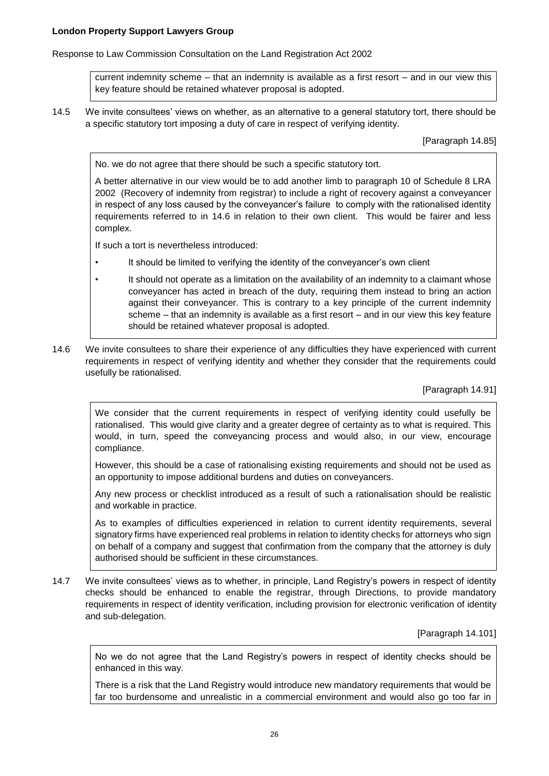Response to Law Commission Consultation on the Land Registration Act 2002

current indemnity scheme – that an indemnity is available as a first resort – and in our view this key feature should be retained whatever proposal is adopted.

14.5 We invite consultees' views on whether, as an alternative to a general statutory tort, there should be a specific statutory tort imposing a duty of care in respect of verifying identity.

[Paragraph 14.85]

No. we do not agree that there should be such a specific statutory tort.

A better alternative in our view would be to add another limb to paragraph 10 of Schedule 8 LRA 2002 (Recovery of indemnity from registrar) to include a right of recovery against a conveyancer in respect of any loss caused by the conveyancer's failure to comply with the rationalised identity requirements referred to in 14.6 in relation to their own client. This would be fairer and less complex.

If such a tort is nevertheless introduced:

- It should be limited to verifying the identity of the conveyancer's own client
- It should not operate as a limitation on the availability of an indemnity to a claimant whose conveyancer has acted in breach of the duty, requiring them instead to bring an action against their conveyancer. This is contrary to a key principle of the current indemnity scheme – that an indemnity is available as a first resort – and in our view this key feature should be retained whatever proposal is adopted.
- 14.6 We invite consultees to share their experience of any difficulties they have experienced with current requirements in respect of verifying identity and whether they consider that the requirements could usefully be rationalised.

## [Paragraph 14.91]

We consider that the current requirements in respect of verifying identity could usefully be rationalised. This would give clarity and a greater degree of certainty as to what is required. This would, in turn, speed the conveyancing process and would also, in our view, encourage compliance.

However, this should be a case of rationalising existing requirements and should not be used as an opportunity to impose additional burdens and duties on conveyancers.

Any new process or checklist introduced as a result of such a rationalisation should be realistic and workable in practice.

As to examples of difficulties experienced in relation to current identity requirements, several signatory firms have experienced real problems in relation to identity checks for attorneys who sign on behalf of a company and suggest that confirmation from the company that the attorney is duly authorised should be sufficient in these circumstances.

14.7 We invite consultees' views as to whether, in principle, Land Registry's powers in respect of identity checks should be enhanced to enable the registrar, through Directions, to provide mandatory requirements in respect of identity verification, including provision for electronic verification of identity and sub-delegation.

# [Paragraph 14.101]

No we do not agree that the Land Registry's powers in respect of identity checks should be enhanced in this way.

There is a risk that the Land Registry would introduce new mandatory requirements that would be far too burdensome and unrealistic in a commercial environment and would also go too far in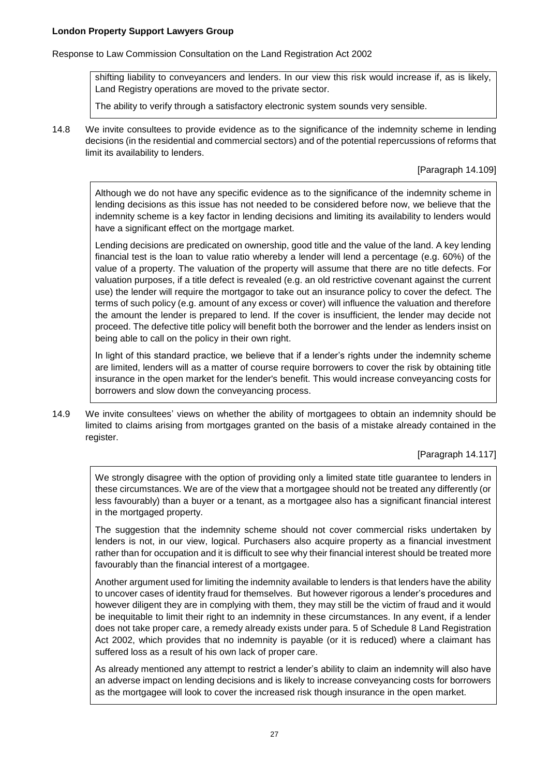Response to Law Commission Consultation on the Land Registration Act 2002

shifting liability to conveyancers and lenders. In our view this risk would increase if, as is likely, Land Registry operations are moved to the private sector.

The ability to verify through a satisfactory electronic system sounds very sensible.

14.8 We invite consultees to provide evidence as to the significance of the indemnity scheme in lending decisions (in the residential and commercial sectors) and of the potential repercussions of reforms that limit its availability to lenders.

[Paragraph 14.109]

Although we do not have any specific evidence as to the significance of the indemnity scheme in lending decisions as this issue has not needed to be considered before now, we believe that the indemnity scheme is a key factor in lending decisions and limiting its availability to lenders would have a significant effect on the mortgage market.

Lending decisions are predicated on ownership, good title and the value of the land. A key lending financial test is the loan to value ratio whereby a lender will lend a percentage (e.g. 60%) of the value of a property. The valuation of the property will assume that there are no title defects. For valuation purposes, if a title defect is revealed (e.g. an old restrictive covenant against the current use) the lender will require the mortgagor to take out an insurance policy to cover the defect. The terms of such policy (e.g. amount of any excess or cover) will influence the valuation and therefore the amount the lender is prepared to lend. If the cover is insufficient, the lender may decide not proceed. The defective title policy will benefit both the borrower and the lender as lenders insist on being able to call on the policy in their own right.

In light of this standard practice, we believe that if a lender's rights under the indemnity scheme are limited, lenders will as a matter of course require borrowers to cover the risk by obtaining title insurance in the open market for the lender's benefit. This would increase conveyancing costs for borrowers and slow down the conveyancing process.

14.9 We invite consultees' views on whether the ability of mortgagees to obtain an indemnity should be limited to claims arising from mortgages granted on the basis of a mistake already contained in the register.

[Paragraph 14.117]

We strongly disagree with the option of providing only a limited state title guarantee to lenders in these circumstances. We are of the view that a mortgagee should not be treated any differently (or less favourably) than a buyer or a tenant, as a mortgagee also has a significant financial interest in the mortgaged property.

The suggestion that the indemnity scheme should not cover commercial risks undertaken by lenders is not, in our view, logical. Purchasers also acquire property as a financial investment rather than for occupation and it is difficult to see why their financial interest should be treated more favourably than the financial interest of a mortgagee.

Another argument used for limiting the indemnity available to lenders is that lenders have the ability to uncover cases of identity fraud for themselves. But however rigorous a lender's procedures and however diligent they are in complying with them, they may still be the victim of fraud and it would be inequitable to limit their right to an indemnity in these circumstances. In any event, if a lender does not take proper care, a remedy already exists under para. 5 of Schedule 8 Land Registration Act 2002, which provides that no indemnity is payable (or it is reduced) where a claimant has suffered loss as a result of his own lack of proper care.

As already mentioned any attempt to restrict a lender's ability to claim an indemnity will also have an adverse impact on lending decisions and is likely to increase conveyancing costs for borrowers as the mortgagee will look to cover the increased risk though insurance in the open market.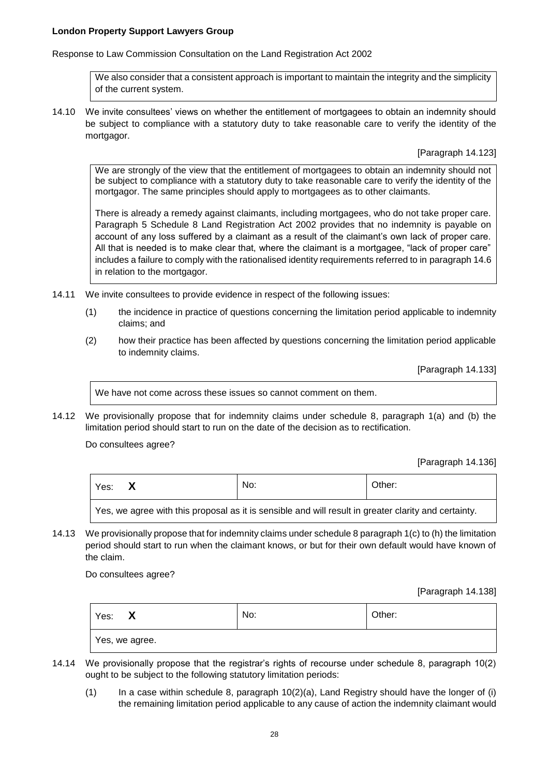Response to Law Commission Consultation on the Land Registration Act 2002

We also consider that a consistent approach is important to maintain the integrity and the simplicity of the current system.

14.10 We invite consultees' views on whether the entitlement of mortgagees to obtain an indemnity should be subject to compliance with a statutory duty to take reasonable care to verify the identity of the mortgagor.

[Paragraph 14.123]

We are strongly of the view that the entitlement of mortgagees to obtain an indemnity should not be subject to compliance with a statutory duty to take reasonable care to verify the identity of the mortgagor. The same principles should apply to mortgagees as to other claimants.

There is already a remedy against claimants, including mortgagees, who do not take proper care. Paragraph 5 Schedule 8 Land Registration Act 2002 provides that no indemnity is payable on account of any loss suffered by a claimant as a result of the claimant's own lack of proper care. All that is needed is to make clear that, where the claimant is a mortgagee, "lack of proper care" includes a failure to comply with the rationalised identity requirements referred to in paragraph 14.6 in relation to the mortgagor.

- 14.11 We invite consultees to provide evidence in respect of the following issues:
	- (1) the incidence in practice of questions concerning the limitation period applicable to indemnity claims; and
	- (2) how their practice has been affected by questions concerning the limitation period applicable to indemnity claims.

[Paragraph 14.133]

We have not come across these issues so cannot comment on them.

14.12 We provisionally propose that for indemnity claims under schedule 8, paragraph 1(a) and (b) the limitation period should start to run on the date of the decision as to rectification.

Do consultees agree?

[Paragraph 14.136]

| Yes:                                                                                                 | No: | Other: |  |
|------------------------------------------------------------------------------------------------------|-----|--------|--|
| Yes, we agree with this proposal as it is sensible and will result in greater clarity and certainty. |     |        |  |

14.13 We provisionally propose that for indemnity claims under schedule 8 paragraph 1(c) to (h) the limitation period should start to run when the claimant knows, or but for their own default would have known of the claim.

Do consultees agree?

[Paragraph 14.138]

| Yes:<br>$\bm{x}$ | No: | Other: |
|------------------|-----|--------|
| Yes, we agree.   |     |        |

- 14.14 We provisionally propose that the registrar's rights of recourse under schedule 8, paragraph 10(2) ought to be subject to the following statutory limitation periods:
	- $(1)$  In a case within schedule 8, paragraph 10(2)(a), Land Registry should have the longer of (i) the remaining limitation period applicable to any cause of action the indemnity claimant would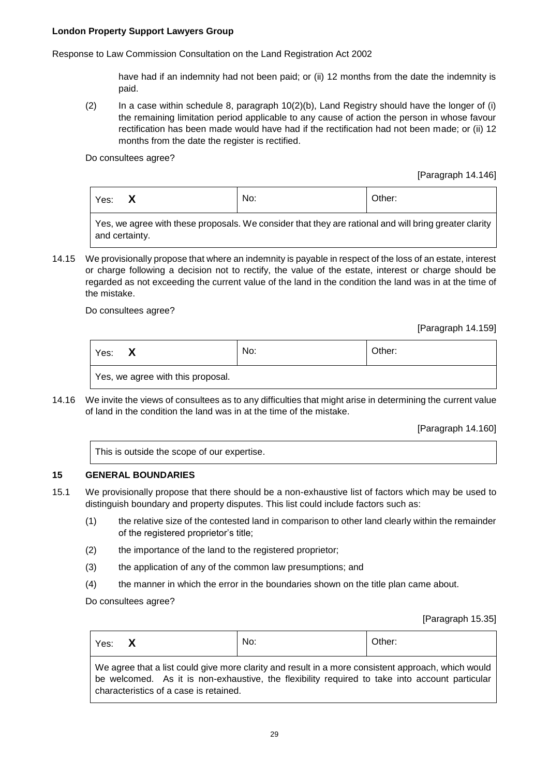Response to Law Commission Consultation on the Land Registration Act 2002

have had if an indemnity had not been paid; or (ii) 12 months from the date the indemnity is paid.

(2) In a case within schedule 8, paragraph 10(2)(b), Land Registry should have the longer of (i) the remaining limitation period applicable to any cause of action the person in whose favour rectification has been made would have had if the rectification had not been made; or (ii) 12 months from the date the register is rectified.

Do consultees agree?

[Paragraph 14.146]

| Yes: | Ā | No: | Other: |
|------|---|-----|--------|
|      |   |     |        |

Yes, we agree with these proposals. We consider that they are rational and will bring greater clarity and certainty.

14.15 We provisionally propose that where an indemnity is payable in respect of the loss of an estate, interest or charge following a decision not to rectify, the value of the estate, interest or charge should be regarded as not exceeding the current value of the land in the condition the land was in at the time of the mistake.

Do consultees agree?

[Paragraph 14.159]

| Yes: | $\mathbf{v}$<br>Y | No: | Other: |
|------|-------------------|-----|--------|
| .    |                   |     |        |

Yes, we agree with this proposal.

14.16 We invite the views of consultees as to any difficulties that might arise in determining the current value of land in the condition the land was in at the time of the mistake.

[Paragraph 14.160]

|  |  | This is outside the scope of our expertise. |
|--|--|---------------------------------------------|
|--|--|---------------------------------------------|

## **15 GENERAL BOUNDARIES**

 $\blacksquare$ 

- 15.1 We provisionally propose that there should be a non-exhaustive list of factors which may be used to distinguish boundary and property disputes. This list could include factors such as:
	- (1) the relative size of the contested land in comparison to other land clearly within the remainder of the registered proprietor's title;
	- (2) the importance of the land to the registered proprietor;
	- (3) the application of any of the common law presumptions; and
	- (4) the manner in which the error in the boundaries shown on the title plan came about.

Do consultees agree?

[Paragraph 15.35]

| Yes: X |                                        | No:                                                                                                                                                                                                  | Other: |
|--------|----------------------------------------|------------------------------------------------------------------------------------------------------------------------------------------------------------------------------------------------------|--------|
|        | characteristics of a case is retained. | We agree that a list could give more clarity and result in a more consistent approach, which would<br>be welcomed. As it is non-exhaustive, the flexibility required to take into account particular |        |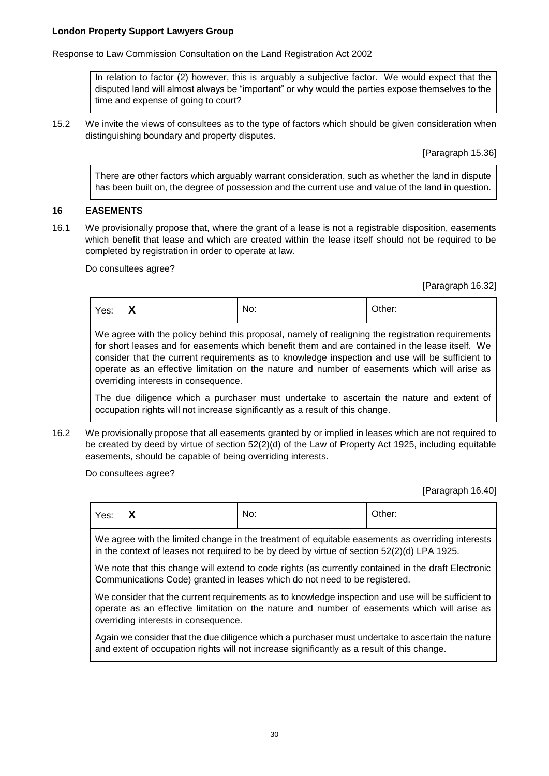Response to Law Commission Consultation on the Land Registration Act 2002

In relation to factor (2) however, this is arguably a subjective factor. We would expect that the disputed land will almost always be "important" or why would the parties expose themselves to the time and expense of going to court?

15.2 We invite the views of consultees as to the type of factors which should be given consideration when distinguishing boundary and property disputes.

[Paragraph 15.36]

There are other factors which arguably warrant consideration, such as whether the land in dispute has been built on, the degree of possession and the current use and value of the land in question.

## **16 EASEMENTS**

16.1 We provisionally propose that, where the grant of a lease is not a registrable disposition, easements which benefit that lease and which are created within the lease itself should not be required to be completed by registration in order to operate at law.

#### Do consultees agree?

[Paragraph 16.32]

| $\mathbf{v}$<br>No:<br>Yes:<br>$\mathbf{v}$ | Other: |
|---------------------------------------------|--------|
|---------------------------------------------|--------|

We agree with the policy behind this proposal, namely of realigning the registration requirements for short leases and for easements which benefit them and are contained in the lease itself. We consider that the current requirements as to knowledge inspection and use will be sufficient to operate as an effective limitation on the nature and number of easements which will arise as overriding interests in consequence.

The due diligence which a purchaser must undertake to ascertain the nature and extent of occupation rights will not increase significantly as a result of this change.

16.2 We provisionally propose that all easements granted by or implied in leases which are not required to be created by deed by virtue of section 52(2)(d) of the Law of Property Act 1925, including equitable easements, should be capable of being overriding interests.

Do consultees agree?

[Paragraph 16.40]

| Yes: | $\boldsymbol{\mathsf{X}}$ | No: | Other: |
|------|---------------------------|-----|--------|
|      |                           |     |        |

We agree with the limited change in the treatment of equitable easements as overriding interests in the context of leases not required to be by deed by virtue of section 52(2)(d) LPA 1925.

We note that this change will extend to code rights (as currently contained in the draft Electronic Communications Code) granted in leases which do not need to be registered.

We consider that the current requirements as to knowledge inspection and use will be sufficient to operate as an effective limitation on the nature and number of easements which will arise as overriding interests in consequence.

Again we consider that the due diligence which a purchaser must undertake to ascertain the nature and extent of occupation rights will not increase significantly as a result of this change.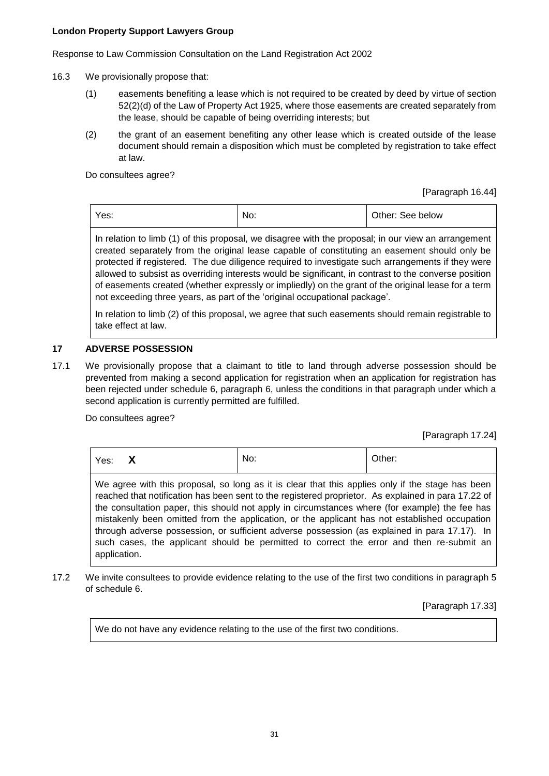Response to Law Commission Consultation on the Land Registration Act 2002

- 16.3 We provisionally propose that:
	- (1) easements benefiting a lease which is not required to be created by deed by virtue of section 52(2)(d) of the Law of Property Act 1925, where those easements are created separately from the lease, should be capable of being overriding interests; but
	- (2) the grant of an easement benefiting any other lease which is created outside of the lease document should remain a disposition which must be completed by registration to take effect at law.

Do consultees agree?

[Paragraph 16.44]

|  | Yes: | No: | Other: See below |
|--|------|-----|------------------|
|--|------|-----|------------------|

In relation to limb (1) of this proposal, we disagree with the proposal; in our view an arrangement created separately from the original lease capable of constituting an easement should only be protected if registered. The due diligence required to investigate such arrangements if they were allowed to subsist as overriding interests would be significant, in contrast to the converse position of easements created (whether expressly or impliedly) on the grant of the original lease for a term not exceeding three years, as part of the 'original occupational package'.

In relation to limb (2) of this proposal, we agree that such easements should remain registrable to take effect at law.

# **17 ADVERSE POSSESSION**

17.1 We provisionally propose that a claimant to title to land through adverse possession should be prevented from making a second application for registration when an application for registration has been rejected under schedule 6, paragraph 6, unless the conditions in that paragraph under which a second application is currently permitted are fulfilled.

Do consultees agree?

[Paragraph 17.24]

| Yes: | $\overline{\mathbf{v}}$<br>$\mathbf{\Lambda}$ | No: | Other: |
|------|-----------------------------------------------|-----|--------|
|      |                                               |     |        |

We agree with this proposal, so long as it is clear that this applies only if the stage has been reached that notification has been sent to the registered proprietor. As explained in para 17.22 of the consultation paper, this should not apply in circumstances where (for example) the fee has mistakenly been omitted from the application, or the applicant has not established occupation through adverse possession, or sufficient adverse possession (as explained in para 17.17). In such cases, the applicant should be permitted to correct the error and then re-submit an application.

17.2 We invite consultees to provide evidence relating to the use of the first two conditions in paragraph 5 of schedule 6.

[Paragraph 17.33]

We do not have any evidence relating to the use of the first two conditions.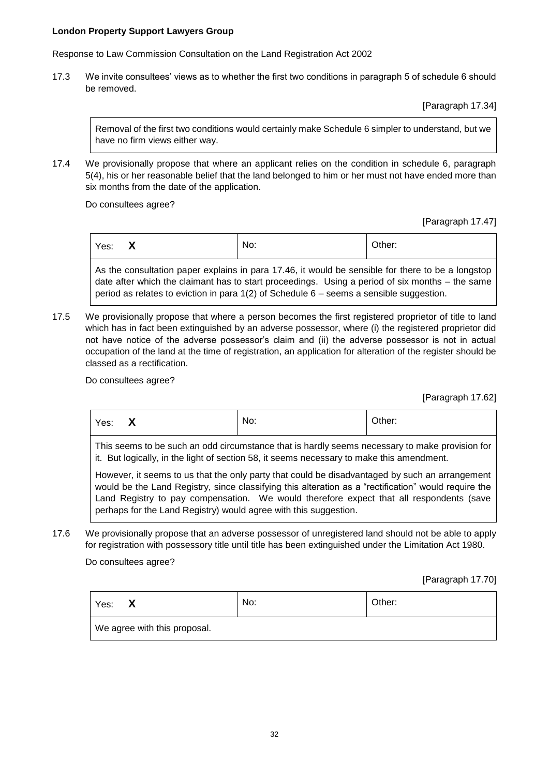Response to Law Commission Consultation on the Land Registration Act 2002

17.3 We invite consultees' views as to whether the first two conditions in paragraph 5 of schedule 6 should be removed.

[Paragraph 17.34]

Removal of the first two conditions would certainly make Schedule 6 simpler to understand, but we have no firm views either way.

17.4 We provisionally propose that where an applicant relies on the condition in schedule 6, paragraph 5(4), his or her reasonable belief that the land belonged to him or her must not have ended more than six months from the date of the application.

Do consultees agree?

[Paragraph 17.47]

| No:<br>`<br>Yes:<br>$\mathbf{v}$ | Other: |
|----------------------------------|--------|
|----------------------------------|--------|

As the consultation paper explains in para 17.46, it would be sensible for there to be a longstop date after which the claimant has to start proceedings. Using a period of six months – the same period as relates to eviction in para 1(2) of Schedule 6 – seems a sensible suggestion.

17.5 We provisionally propose that where a person becomes the first registered proprietor of title to land which has in fact been extinguished by an adverse possessor, where (i) the registered proprietor did not have notice of the adverse possessor's claim and (ii) the adverse possessor is not in actual occupation of the land at the time of registration, an application for alteration of the register should be classed as a rectification.

Do consultees agree?

[Paragraph 17.62]

| Yes: | $\blacksquare$<br>$\mathbf{v}$ | No: | Other: |
|------|--------------------------------|-----|--------|
|      |                                |     |        |

This seems to be such an odd circumstance that is hardly seems necessary to make provision for it. But logically, in the light of section 58, it seems necessary to make this amendment.

However, it seems to us that the only party that could be disadvantaged by such an arrangement would be the Land Registry, since classifying this alteration as a "rectification" would require the Land Registry to pay compensation. We would therefore expect that all respondents (save perhaps for the Land Registry) would agree with this suggestion.

17.6 We provisionally propose that an adverse possessor of unregistered land should not be able to apply for registration with possessory title until title has been extinguished under the Limitation Act 1980.

Do consultees agree?

[Paragraph 17.70]

| Yes:<br>х                    | No: | Other: |
|------------------------------|-----|--------|
| We agree with this proposal. |     |        |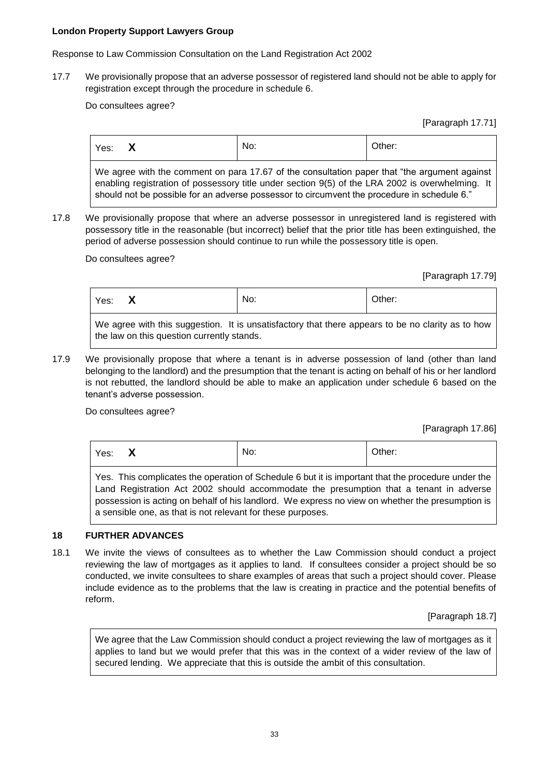Response to Law Commission Consultation on the Land Registration Act 2002

17.7 We provisionally propose that an adverse possessor of registered land should not be able to apply for registration except through the procedure in schedule 6.

Do consultees agree?

[Paragraph 17.71]

| Yes:                                                                                                                                                                                              | X | No: | Other: |  |
|---------------------------------------------------------------------------------------------------------------------------------------------------------------------------------------------------|---|-----|--------|--|
| We agree with the comment on para 17.67 of the consultation paper that "the argument against"<br>enabling registration of possessory title under section 9(5) of the LRA 2002 is overwhelming. It |   |     |        |  |

17.8 We provisionally propose that where an adverse possessor in unregistered land is registered with possessory title in the reasonable (but incorrect) belief that the prior title has been extinguished, the period of adverse possession should continue to run while the possessory title is open.

should not be possible for an adverse possessor to circumvent the procedure in schedule 6."

Do consultees agree?

[Paragraph 17.79]

| Yes: | $\blacksquare$<br>$\mathbf{\Lambda}$ | No: | Other: |
|------|--------------------------------------|-----|--------|
| .    | $\sim$ $\sim$ $\sim$                 |     |        |

We agree with this suggestion. It is unsatisfactory that there appears to be no clarity as to how the law on this question currently stands.

17.9 We provisionally propose that where a tenant is in adverse possession of land (other than land belonging to the landlord) and the presumption that the tenant is acting on behalf of his or her landlord is not rebutted, the landlord should be able to make an application under schedule 6 based on the tenant's adverse possession.

Do consultees agree?

[Paragraph 17.86]

| Yes:                                                                                                  |  | No: | Other: |  |
|-------------------------------------------------------------------------------------------------------|--|-----|--------|--|
| $\Box$ . This complicates the constituted Colembia Object the beneather that the normalizer in denths |  |     |        |  |

Yes. This complicates the operation of Schedule 6 but it is important that the procedure under the Land Registration Act 2002 should accommodate the presumption that a tenant in adverse possession is acting on behalf of his landlord. We express no view on whether the presumption is a sensible one, as that is not relevant for these purposes.

## **18 FURTHER ADVANCES**

18.1 We invite the views of consultees as to whether the Law Commission should conduct a project reviewing the law of mortgages as it applies to land. If consultees consider a project should be so conducted, we invite consultees to share examples of areas that such a project should cover. Please include evidence as to the problems that the law is creating in practice and the potential benefits of reform.

[Paragraph 18.7]

We agree that the Law Commission should conduct a project reviewing the law of mortgages as it applies to land but we would prefer that this was in the context of a wider review of the law of secured lending. We appreciate that this is outside the ambit of this consultation.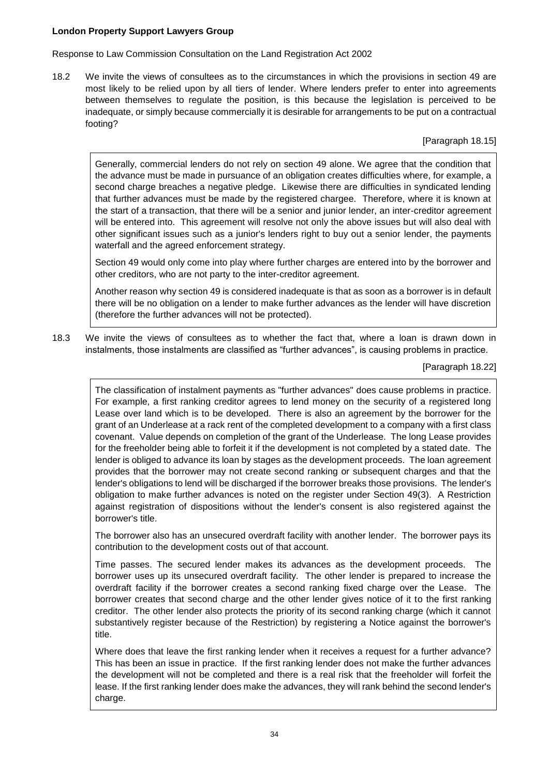Response to Law Commission Consultation on the Land Registration Act 2002

18.2 We invite the views of consultees as to the circumstances in which the provisions in section 49 are most likely to be relied upon by all tiers of lender. Where lenders prefer to enter into agreements between themselves to regulate the position, is this because the legislation is perceived to be inadequate, or simply because commercially it is desirable for arrangements to be put on a contractual footing?

[Paragraph 18.15]

Generally, commercial lenders do not rely on section 49 alone. We agree that the condition that the advance must be made in pursuance of an obligation creates difficulties where, for example, a second charge breaches a negative pledge. Likewise there are difficulties in syndicated lending that further advances must be made by the registered chargee. Therefore, where it is known at the start of a transaction, that there will be a senior and junior lender, an inter-creditor agreement will be entered into. This agreement will resolve not only the above issues but will also deal with other significant issues such as a junior's lenders right to buy out a senior lender, the payments waterfall and the agreed enforcement strategy.

Section 49 would only come into play where further charges are entered into by the borrower and other creditors, who are not party to the inter-creditor agreement.

Another reason why section 49 is considered inadequate is that as soon as a borrower is in default there will be no obligation on a lender to make further advances as the lender will have discretion (therefore the further advances will not be protected).

18.3 We invite the views of consultees as to whether the fact that, where a loan is drawn down in instalments, those instalments are classified as "further advances", is causing problems in practice.

[Paragraph 18.22]

The classification of instalment payments as "further advances" does cause problems in practice. For example, a first ranking creditor agrees to lend money on the security of a registered long Lease over land which is to be developed. There is also an agreement by the borrower for the grant of an Underlease at a rack rent of the completed development to a company with a first class covenant. Value depends on completion of the grant of the Underlease. The long Lease provides for the freeholder being able to forfeit it if the development is not completed by a stated date. The lender is obliged to advance its loan by stages as the development proceeds. The loan agreement provides that the borrower may not create second ranking or subsequent charges and that the lender's obligations to lend will be discharged if the borrower breaks those provisions. The lender's obligation to make further advances is noted on the register under Section 49(3). A Restriction against registration of dispositions without the lender's consent is also registered against the borrower's title.

The borrower also has an unsecured overdraft facility with another lender. The borrower pays its contribution to the development costs out of that account.

Time passes. The secured lender makes its advances as the development proceeds. The borrower uses up its unsecured overdraft facility. The other lender is prepared to increase the overdraft facility if the borrower creates a second ranking fixed charge over the Lease. The borrower creates that second charge and the other lender gives notice of it to the first ranking creditor. The other lender also protects the priority of its second ranking charge (which it cannot substantively register because of the Restriction) by registering a Notice against the borrower's title.

Where does that leave the first ranking lender when it receives a request for a further advance? This has been an issue in practice. If the first ranking lender does not make the further advances the development will not be completed and there is a real risk that the freeholder will forfeit the lease. If the first ranking lender does make the advances, they will rank behind the second lender's charge.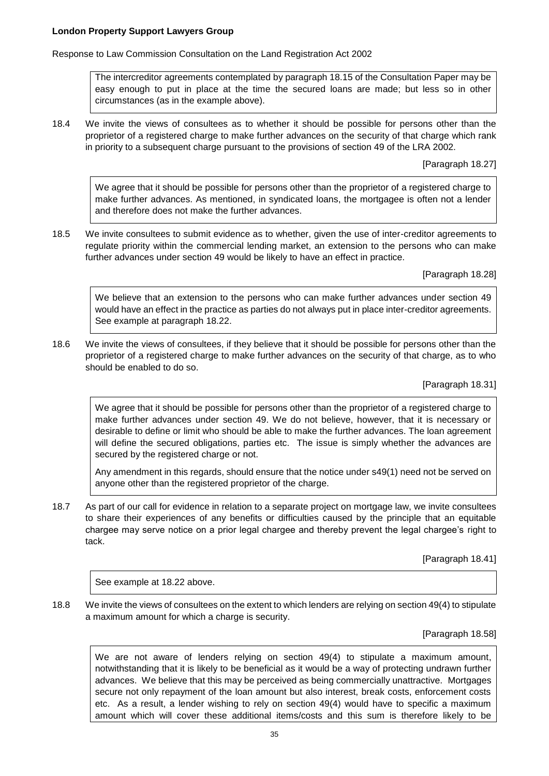Response to Law Commission Consultation on the Land Registration Act 2002

The intercreditor agreements contemplated by paragraph 18.15 of the Consultation Paper may be easy enough to put in place at the time the secured loans are made; but less so in other circumstances (as in the example above).

18.4 We invite the views of consultees as to whether it should be possible for persons other than the proprietor of a registered charge to make further advances on the security of that charge which rank in priority to a subsequent charge pursuant to the provisions of section 49 of the LRA 2002.

[Paragraph 18.27]

We agree that it should be possible for persons other than the proprietor of a registered charge to make further advances. As mentioned, in syndicated loans, the mortgagee is often not a lender and therefore does not make the further advances.

18.5 We invite consultees to submit evidence as to whether, given the use of inter-creditor agreements to regulate priority within the commercial lending market, an extension to the persons who can make further advances under section 49 would be likely to have an effect in practice.

[Paragraph 18.28]

We believe that an extension to the persons who can make further advances under section 49 would have an effect in the practice as parties do not always put in place inter-creditor agreements. See example at paragraph 18.22.

18.6 We invite the views of consultees, if they believe that it should be possible for persons other than the proprietor of a registered charge to make further advances on the security of that charge, as to who should be enabled to do so.

[Paragraph 18.31]

We agree that it should be possible for persons other than the proprietor of a registered charge to make further advances under section 49. We do not believe, however, that it is necessary or desirable to define or limit who should be able to make the further advances. The loan agreement will define the secured obligations, parties etc. The issue is simply whether the advances are secured by the registered charge or not.

Any amendment in this regards, should ensure that the notice under s49(1) need not be served on anyone other than the registered proprietor of the charge.

18.7 As part of our call for evidence in relation to a separate project on mortgage law, we invite consultees to share their experiences of any benefits or difficulties caused by the principle that an equitable chargee may serve notice on a prior legal chargee and thereby prevent the legal chargee's right to tack.

[Paragraph 18.41]

See example at 18.22 above.

18.8 We invite the views of consultees on the extent to which lenders are relying on section 49(4) to stipulate a maximum amount for which a charge is security.

[Paragraph 18.58]

We are not aware of lenders relying on section 49(4) to stipulate a maximum amount, notwithstanding that it is likely to be beneficial as it would be a way of protecting undrawn further advances. We believe that this may be perceived as being commercially unattractive. Mortgages secure not only repayment of the loan amount but also interest, break costs, enforcement costs etc. As a result, a lender wishing to rely on section 49(4) would have to specific a maximum amount which will cover these additional items/costs and this sum is therefore likely to be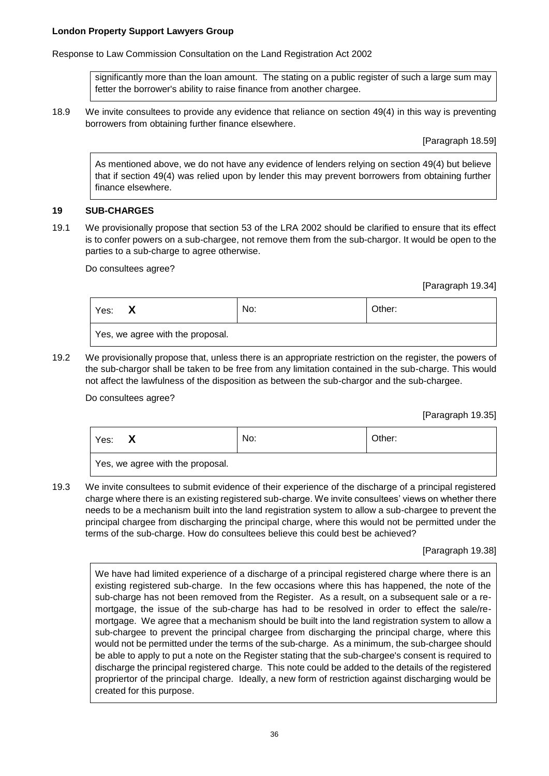Response to Law Commission Consultation on the Land Registration Act 2002

significantly more than the loan amount. The stating on a public register of such a large sum may fetter the borrower's ability to raise finance from another chargee.

18.9 We invite consultees to provide any evidence that reliance on section 49(4) in this way is preventing borrowers from obtaining further finance elsewhere.

[Paragraph 18.59]

As mentioned above, we do not have any evidence of lenders relying on section 49(4) but believe that if section 49(4) was relied upon by lender this may prevent borrowers from obtaining further finance elsewhere.

### **19 SUB-CHARGES**

19.1 We provisionally propose that section 53 of the LRA 2002 should be clarified to ensure that its effect is to confer powers on a sub-chargee, not remove them from the sub-chargor. It would be open to the parties to a sub-charge to agree otherwise.

Do consultees agree?

[Paragraph 19.34]

| Yes:<br>Х                        | No: | Other: |
|----------------------------------|-----|--------|
| Yes, we agree with the proposal. |     |        |

19.2 We provisionally propose that, unless there is an appropriate restriction on the register, the powers of the sub-chargor shall be taken to be free from any limitation contained in the sub-charge. This would not affect the lawfulness of the disposition as between the sub-chargor and the sub-chargee.

Do consultees agree?

[Paragraph 19.35]

| Yes:                             |  | No: | Other: |
|----------------------------------|--|-----|--------|
| Yes, we agree with the proposal. |  |     |        |

19.3 We invite consultees to submit evidence of their experience of the discharge of a principal registered charge where there is an existing registered sub-charge. We invite consultees' views on whether there needs to be a mechanism built into the land registration system to allow a sub-chargee to prevent the principal chargee from discharging the principal charge, where this would not be permitted under the terms of the sub-charge. How do consultees believe this could best be achieved?

[Paragraph 19.38]

We have had limited experience of a discharge of a principal registered charge where there is an existing registered sub-charge. In the few occasions where this has happened, the note of the sub-charge has not been removed from the Register. As a result, on a subsequent sale or a remortgage, the issue of the sub-charge has had to be resolved in order to effect the sale/remortgage. We agree that a mechanism should be built into the land registration system to allow a sub-chargee to prevent the principal chargee from discharging the principal charge, where this would not be permitted under the terms of the sub-charge. As a minimum, the sub-chargee should be able to apply to put a note on the Register stating that the sub-chargee's consent is required to discharge the principal registered charge. This note could be added to the details of the registered propriertor of the principal charge. Ideally, a new form of restriction against discharging would be created for this purpose.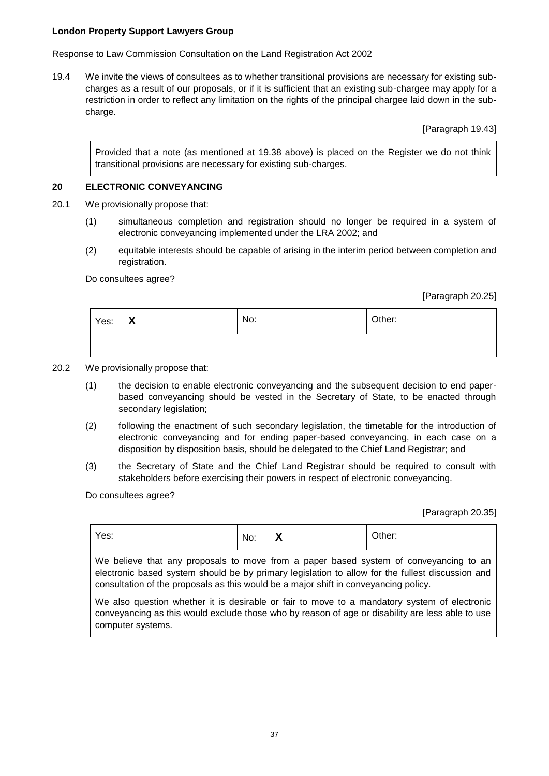Response to Law Commission Consultation on the Land Registration Act 2002

19.4 We invite the views of consultees as to whether transitional provisions are necessary for existing subcharges as a result of our proposals, or if it is sufficient that an existing sub-chargee may apply for a restriction in order to reflect any limitation on the rights of the principal chargee laid down in the subcharge.

[Paragraph 19.43]

Provided that a note (as mentioned at 19.38 above) is placed on the Register we do not think transitional provisions are necessary for existing sub-charges.

## **20 ELECTRONIC CONVEYANCING**

- 20.1 We provisionally propose that:
	- (1) simultaneous completion and registration should no longer be required in a system of electronic conveyancing implemented under the LRA 2002; and
	- (2) equitable interests should be capable of arising in the interim period between completion and registration.

Do consultees agree?

[Paragraph 20.25]

| Yes: $X$ | No: | Other: |
|----------|-----|--------|
|          |     |        |

- 20.2 We provisionally propose that:
	- (1) the decision to enable electronic conveyancing and the subsequent decision to end paperbased conveyancing should be vested in the Secretary of State, to be enacted through secondary legislation;
	- (2) following the enactment of such secondary legislation, the timetable for the introduction of electronic conveyancing and for ending paper-based conveyancing, in each case on a disposition by disposition basis, should be delegated to the Chief Land Registrar; and
	- (3) the Secretary of State and the Chief Land Registrar should be required to consult with stakeholders before exercising their powers in respect of electronic conveyancing.

Do consultees agree?

[Paragraph 20.35]

| Yes:                                                                                                                                                                                                                                                                              | No: |  | Other: |
|-----------------------------------------------------------------------------------------------------------------------------------------------------------------------------------------------------------------------------------------------------------------------------------|-----|--|--------|
| We believe that any proposals to move from a paper based system of conveyancing to an<br>electronic based system should be by primary legislation to allow for the fullest discussion and<br>consultation of the proposals as this would be a major shift in conveyancing policy. |     |  |        |
| We also question whether it is desirable or fair to move to a mandatory system of electronic<br>conveyancing as this would exclude those who by reason of age or disability are less able to use<br>computer systems.                                                             |     |  |        |